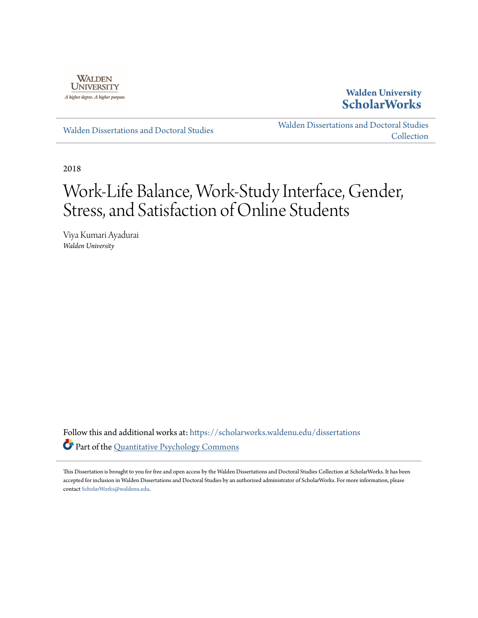

## **Walden University [ScholarWorks](https://scholarworks.waldenu.edu?utm_source=scholarworks.waldenu.edu%2Fdissertations%2F5445&utm_medium=PDF&utm_campaign=PDFCoverPages)**

[Walden Dissertations and Doctoral Studies](https://scholarworks.waldenu.edu/dissertations?utm_source=scholarworks.waldenu.edu%2Fdissertations%2F5445&utm_medium=PDF&utm_campaign=PDFCoverPages)

[Walden Dissertations and Doctoral Studies](https://scholarworks.waldenu.edu/dissanddoc?utm_source=scholarworks.waldenu.edu%2Fdissertations%2F5445&utm_medium=PDF&utm_campaign=PDFCoverPages) [Collection](https://scholarworks.waldenu.edu/dissanddoc?utm_source=scholarworks.waldenu.edu%2Fdissertations%2F5445&utm_medium=PDF&utm_campaign=PDFCoverPages)

2018

# Work-Life Balance, Work-Study Interface, Gender, Stress, and Satisfaction of Online Students

Viya Kumari Ayadurai *Walden University*

Follow this and additional works at: [https://scholarworks.waldenu.edu/dissertations](https://scholarworks.waldenu.edu/dissertations?utm_source=scholarworks.waldenu.edu%2Fdissertations%2F5445&utm_medium=PDF&utm_campaign=PDFCoverPages) Part of the [Quantitative Psychology Commons](http://network.bepress.com/hgg/discipline/1041?utm_source=scholarworks.waldenu.edu%2Fdissertations%2F5445&utm_medium=PDF&utm_campaign=PDFCoverPages)

This Dissertation is brought to you for free and open access by the Walden Dissertations and Doctoral Studies Collection at ScholarWorks. It has been accepted for inclusion in Walden Dissertations and Doctoral Studies by an authorized administrator of ScholarWorks. For more information, please contact [ScholarWorks@waldenu.edu](mailto:ScholarWorks@waldenu.edu).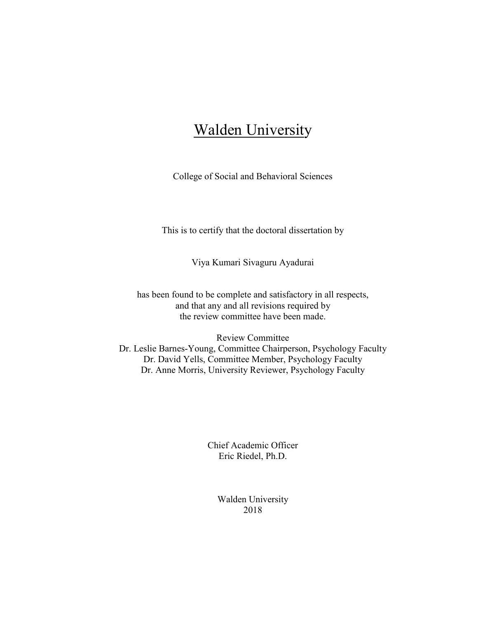## **Walden University**

College of Social and Behavioral Sciences

This is to certify that the doctoral dissertation by

Viya Kumari Sivaguru Ayadurai

has been found to be complete and satisfactory in all respects, and that any and all revisions required by the review committee have been made.

Review Committee Dr. Leslie Barnes-Young, Committee Chairperson, Psychology Faculty Dr. David Yells, Committee Member, Psychology Faculty Dr. Anne Morris, University Reviewer, Psychology Faculty

> Chief Academic Officer Eric Riedel, Ph.D.

> > Walden University 2018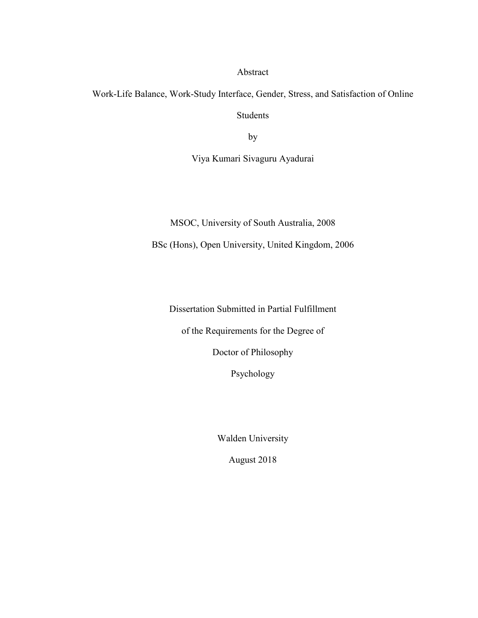Abstract

Work-Life Balance, Work-Study Interface, Gender, Stress, and Satisfaction of Online Students

by

Viya Kumari Sivaguru Ayadurai

MSOC, University of South Australia, 2008

BSc (Hons), Open University, United Kingdom, 2006

Dissertation Submitted in Partial Fulfillment

of the Requirements for the Degree of

Doctor of Philosophy

Psychology

Walden University

August 2018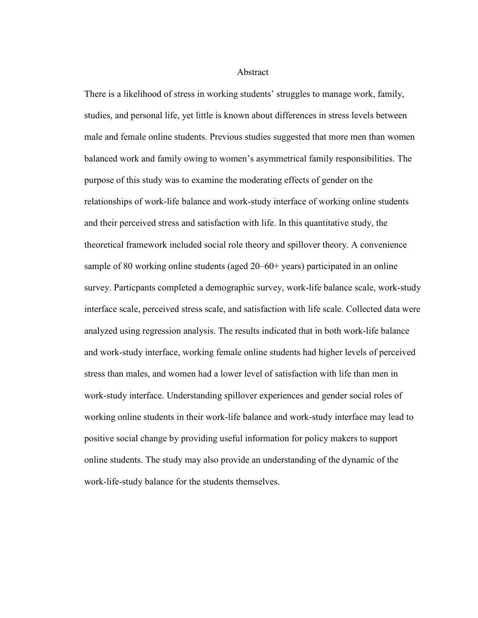**Abstract** 

There is a likelihood of stress in working students' struggles to manage work, family, studies, and personal life, yet little is known about differences in stress levels between male and female online students. Previous studies suggested that more men than women balanced work and family owing to women's asymmetrical family responsibilities. The purpose of this study was to examine the moderating effects of gender on the relationships of work-life balance and work-study interface of working online students and their perceived stress and satisfaction with life. In this quantitative study, the theoretical framework included social role theory and spillover theory. A convenience sample of 80 working online students (aged 20–60+ years) participated in an online survey. Particpants completed a demographic survey, work-life balance scale, work-study interface scale, perceived stress scale, and satisfaction with life scale. Collected data were analyzed using regression analysis. The results indicated that in both work-life balance and work-study interface, working female online students had higher levels of perceived stress than males, and women had a lower level of satisfaction with life than men in work-study interface. Understanding spillover experiences and gender social roles of working online students in their work-life balance and work-study interface may lead to positive social change by providing useful information for policy makers to support online students. The study may also provide an understanding of the dynamic of the work-life-study balance for the students themselves.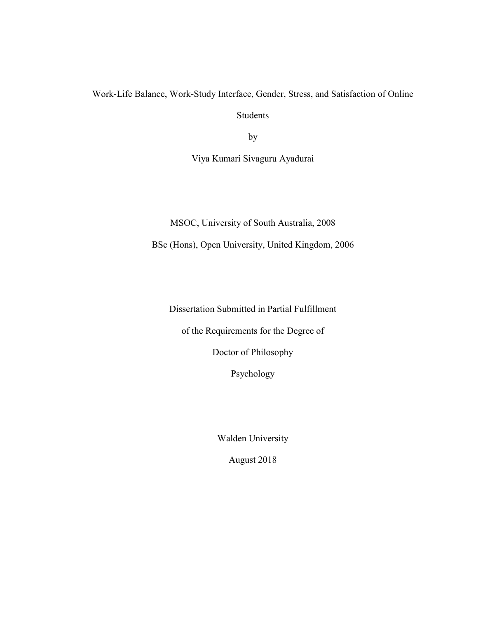Work-Life Balance, Work-Study Interface, Gender, Stress, and Satisfaction of Online Students

by

Viya Kumari Sivaguru Ayadurai

MSOC, University of South Australia, 2008

BSc (Hons), Open University, United Kingdom, 2006

Dissertation Submitted in Partial Fulfillment

of the Requirements for the Degree of

Doctor of Philosophy

Psychology

Walden University

August 2018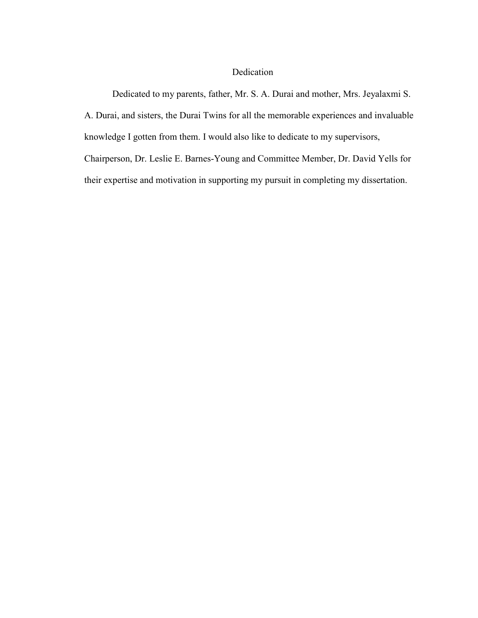#### Dedication

Dedicated to my parents, father, Mr. S. A. Durai and mother, Mrs. Jeyalaxmi S. A. Durai, and sisters, the Durai Twins for all the memorable experiences and invaluable knowledge I gotten from them. I would also like to dedicate to my supervisors, Chairperson, Dr. Leslie E. Barnes-Young and Committee Member, Dr. David Yells for their expertise and motivation in supporting my pursuit in completing my dissertation.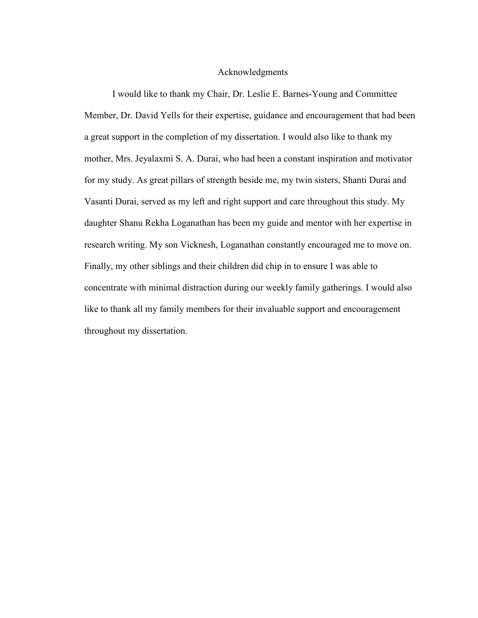#### Acknowledgments

I would like to thank my Chair, Dr. Leslie E. Barnes-Young and Committee Member, Dr. David Yells for their expertise, guidance and encouragement that had been a great support in the completion of my dissertation. I would also like to thank my mother, Mrs. Jeyalaxmi S. A. Durai, who had been a constant inspiration and motivator for my study. As great pillars of strength beside me, my twin sisters, Shanti Durai and Vasanti Durai, served as my left and right support and care throughout this study. My daughter Shanu Rekha Loganathan has been my guide and mentor with her expertise in research writing. My son Vicknesh, Loganathan constantly encouraged me to move on. Finally, my other siblings and their children did chip in to ensure I was able to concentrate with minimal distraction during our weekly family gatherings. I would also like to thank all my family members for their invaluable support and encouragement throughout my dissertation.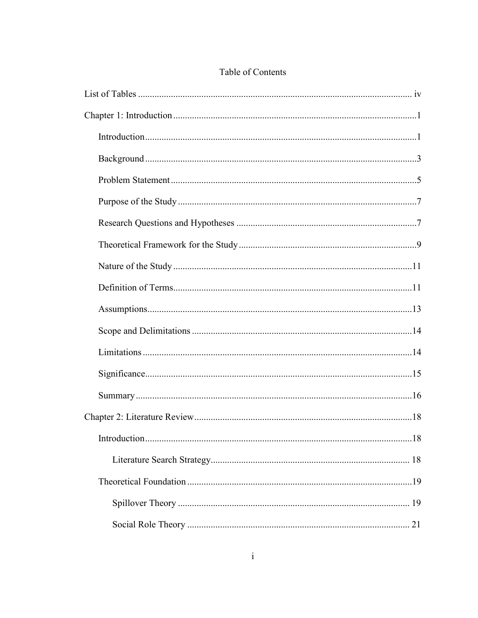### Table of Contents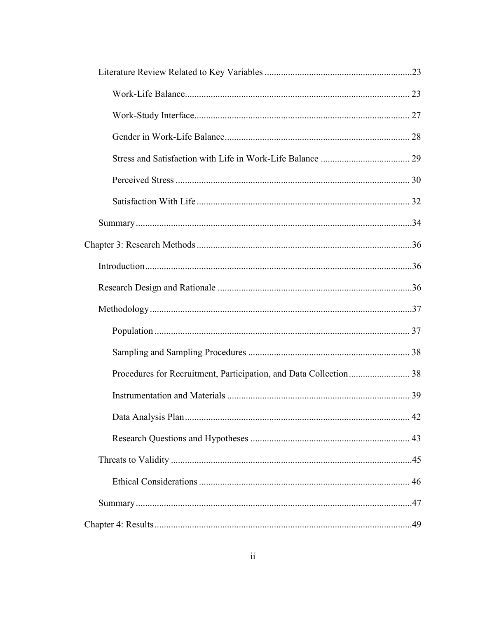| 42 |
|----|
|    |
|    |
|    |
|    |
|    |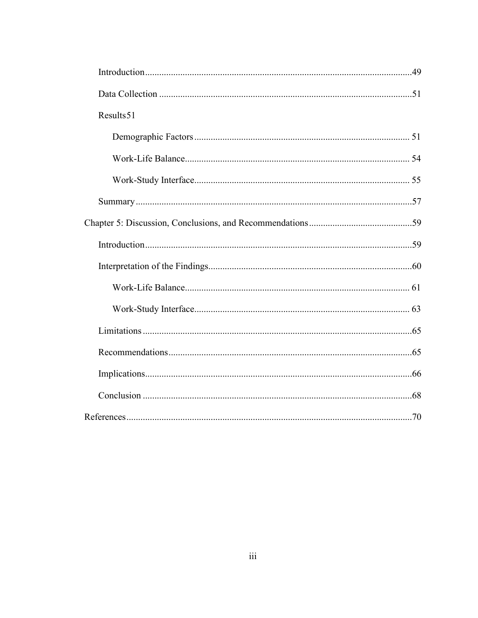| Results 51 |  |
|------------|--|
|            |  |
|            |  |
|            |  |
|            |  |
|            |  |
|            |  |
|            |  |
|            |  |
|            |  |
|            |  |
|            |  |
|            |  |
|            |  |
|            |  |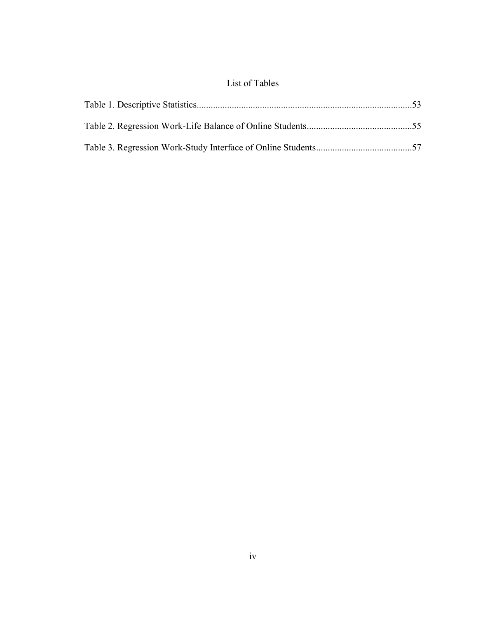## List of Tables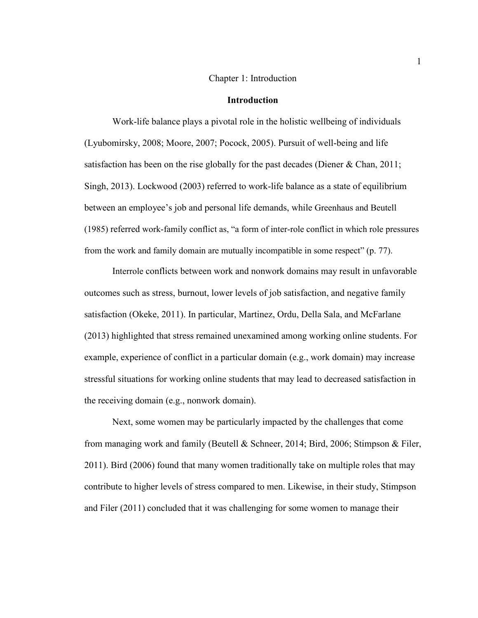#### Chapter 1: Introduction

#### **Introduction**

Work-life balance plays a pivotal role in the holistic wellbeing of individuals (Lyubomirsky, 2008; Moore, 2007; Pocock, 2005). Pursuit of well-being and life satisfaction has been on the rise globally for the past decades (Diener & Chan, 2011; Singh, 2013). Lockwood (2003) referred to work-life balance as a state of equilibrium between an employee's job and personal life demands, while Greenhaus and Beutell (1985) referred work-family conflict as, "a form of inter-role conflict in which role pressures from the work and family domain are mutually incompatible in some respect" (p. 77).

Interrole conflicts between work and nonwork domains may result in unfavorable outcomes such as stress, burnout, lower levels of job satisfaction, and negative family satisfaction (Okeke, 2011). In particular, Martinez, Ordu, Della Sala, and McFarlane (2013) highlighted that stress remained unexamined among working online students. For example, experience of conflict in a particular domain (e.g., work domain) may increase stressful situations for working online students that may lead to decreased satisfaction in the receiving domain (e.g., nonwork domain).

Next, some women may be particularly impacted by the challenges that come from managing work and family (Beutell & Schneer, 2014; Bird, 2006; Stimpson & Filer, 2011). Bird (2006) found that many women traditionally take on multiple roles that may contribute to higher levels of stress compared to men. Likewise, in their study, Stimpson and Filer (2011) concluded that it was challenging for some women to manage their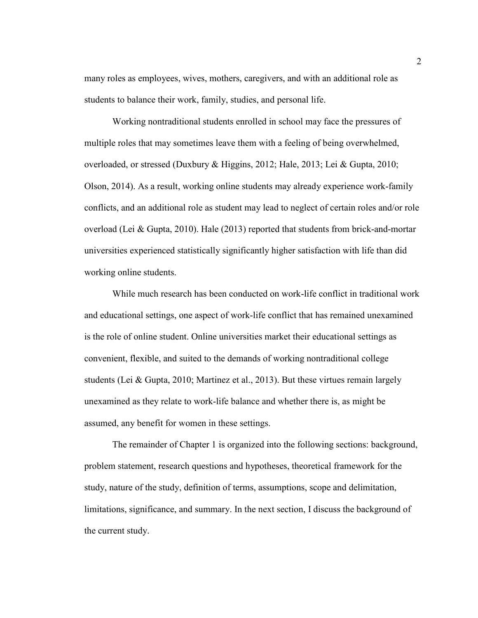many roles as employees, wives, mothers, caregivers, and with an additional role as students to balance their work, family, studies, and personal life.

Working nontraditional students enrolled in school may face the pressures of multiple roles that may sometimes leave them with a feeling of being overwhelmed, overloaded, or stressed (Duxbury & Higgins, 2012; Hale, 2013; Lei & Gupta, 2010; Olson, 2014). As a result, working online students may already experience work-family conflicts, and an additional role as student may lead to neglect of certain roles and/or role overload (Lei & Gupta, 2010). Hale (2013) reported that students from brick-and-mortar universities experienced statistically significantly higher satisfaction with life than did working online students.

While much research has been conducted on work-life conflict in traditional work and educational settings, one aspect of work-life conflict that has remained unexamined is the role of online student. Online universities market their educational settings as convenient, flexible, and suited to the demands of working nontraditional college students (Lei & Gupta, 2010; Martinez et al., 2013). But these virtues remain largely unexamined as they relate to work-life balance and whether there is, as might be assumed, any benefit for women in these settings.

The remainder of Chapter 1 is organized into the following sections: background, problem statement, research questions and hypotheses, theoretical framework for the study, nature of the study, definition of terms, assumptions, scope and delimitation, limitations, significance, and summary. In the next section, I discuss the background of the current study.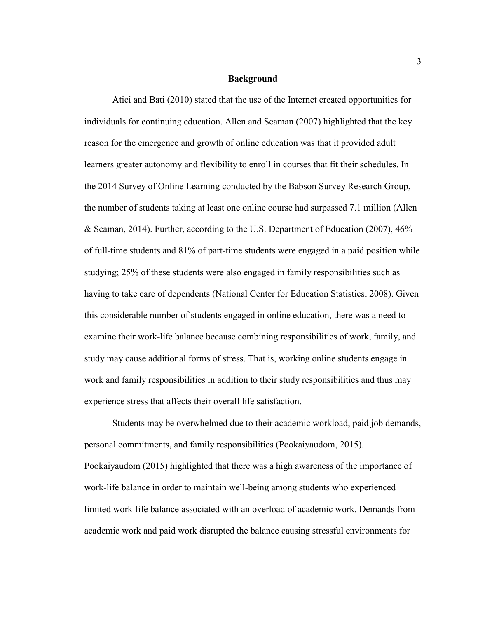#### **Background**

Atici and Bati (2010) stated that the use of the Internet created opportunities for individuals for continuing education. Allen and Seaman (2007) highlighted that the key reason for the emergence and growth of online education was that it provided adult learners greater autonomy and flexibility to enroll in courses that fit their schedules. In the 2014 Survey of Online Learning conducted by the Babson Survey Research Group, the number of students taking at least one online course had surpassed 7.1 million (Allen & Seaman, 2014). Further, according to the U.S. Department of Education (2007), 46% of full-time students and 81% of part-time students were engaged in a paid position while studying; 25% of these students were also engaged in family responsibilities such as having to take care of dependents (National Center for Education Statistics, 2008). Given this considerable number of students engaged in online education, there was a need to examine their work-life balance because combining responsibilities of work, family, and study may cause additional forms of stress. That is, working online students engage in work and family responsibilities in addition to their study responsibilities and thus may experience stress that affects their overall life satisfaction.

Students may be overwhelmed due to their academic workload, paid job demands, personal commitments, and family responsibilities (Pookaiyaudom, 2015). Pookaiyaudom (2015) highlighted that there was a high awareness of the importance of work-life balance in order to maintain well-being among students who experienced limited work-life balance associated with an overload of academic work. Demands from academic work and paid work disrupted the balance causing stressful environments for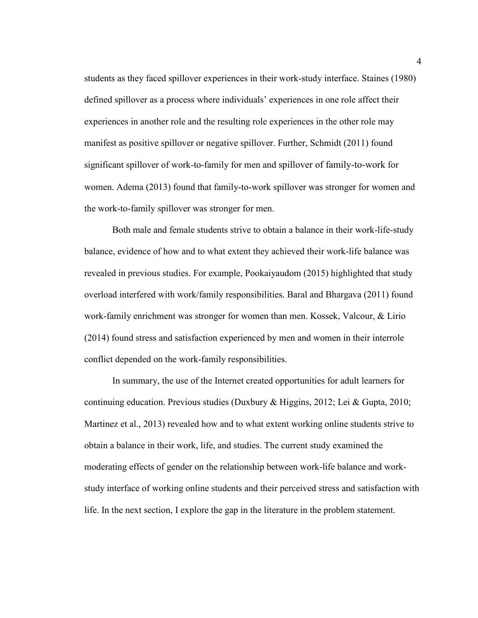students as they faced spillover experiences in their work-study interface. Staines (1980) defined spillover as a process where individuals' experiences in one role affect their experiences in another role and the resulting role experiences in the other role may manifest as positive spillover or negative spillover. Further, Schmidt (2011) found significant spillover of work-to-family for men and spillover of family-to-work for women. Adema (2013) found that family-to-work spillover was stronger for women and the work-to-family spillover was stronger for men.

Both male and female students strive to obtain a balance in their work-life-study balance, evidence of how and to what extent they achieved their work-life balance was revealed in previous studies. For example, Pookaiyaudom (2015) highlighted that study overload interfered with work/family responsibilities. Baral and Bhargava (2011) found work-family enrichment was stronger for women than men. Kossek, Valcour, & Lirio (2014) found stress and satisfaction experienced by men and women in their interrole conflict depended on the work-family responsibilities.

In summary, the use of the Internet created opportunities for adult learners for continuing education. Previous studies (Duxbury & Higgins, 2012; Lei & Gupta, 2010; Martinez et al., 2013) revealed how and to what extent working online students strive to obtain a balance in their work, life, and studies. The current study examined the moderating effects of gender on the relationship between work-life balance and workstudy interface of working online students and their perceived stress and satisfaction with life. In the next section, I explore the gap in the literature in the problem statement.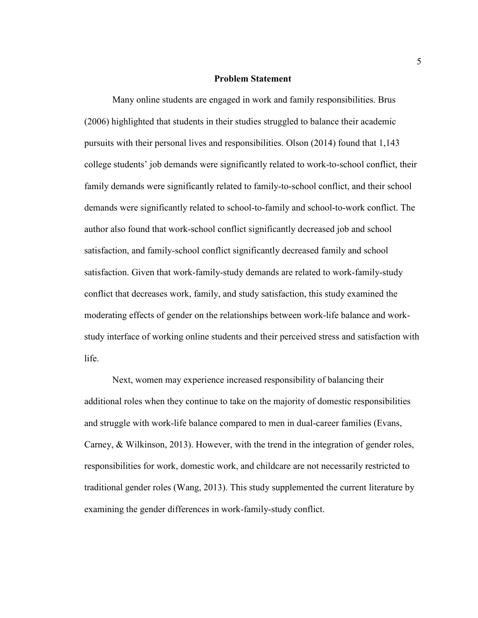#### **Problem Statement**

Many online students are engaged in work and family responsibilities. Brus (2006) highlighted that students in their studies struggled to balance their academic pursuits with their personal lives and responsibilities. Olson (2014) found that 1,143 college students' job demands were significantly related to work-to-school conflict, their family demands were significantly related to family-to-school conflict, and their school demands were significantly related to school-to-family and school-to-work conflict. The author also found that work-school conflict significantly decreased job and school satisfaction, and family-school conflict significantly decreased family and school satisfaction. Given that work-family-study demands are related to work-family-study conflict that decreases work, family, and study satisfaction, this study examined the moderating effects of gender on the relationships between work-life balance and workstudy interface of working online students and their perceived stress and satisfaction with life.

Next, women may experience increased responsibility of balancing their additional roles when they continue to take on the majority of domestic responsibilities and struggle with work-life balance compared to men in dual-career families (Evans, Carney, & Wilkinson, 2013). However, with the trend in the integration of gender roles, responsibilities for work, domestic work, and childcare are not necessarily restricted to traditional gender roles (Wang, 2013). This study supplemented the current literature by examining the gender differences in work-family-study conflict.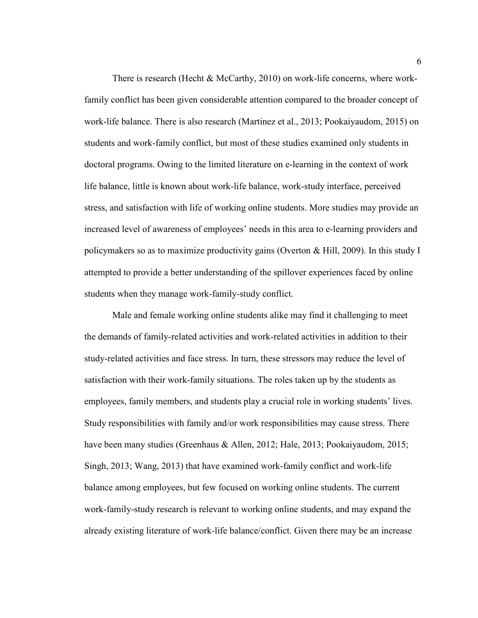There is research (Hecht & McCarthy, 2010) on work-life concerns, where workfamily conflict has been given considerable attention compared to the broader concept of work-life balance. There is also research (Martinez et al., 2013; Pookaiyaudom, 2015) on students and work-family conflict, but most of these studies examined only students in doctoral programs. Owing to the limited literature on e-learning in the context of work life balance, little is known about work-life balance, work-study interface, perceived stress, and satisfaction with life of working online students. More studies may provide an increased level of awareness of employees' needs in this area to e-learning providers and policymakers so as to maximize productivity gains (Overton & Hill, 2009). In this study I attempted to provide a better understanding of the spillover experiences faced by online students when they manage work-family-study conflict.

Male and female working online students alike may find it challenging to meet the demands of family-related activities and work-related activities in addition to their study-related activities and face stress. In turn, these stressors may reduce the level of satisfaction with their work-family situations. The roles taken up by the students as employees, family members, and students play a crucial role in working students' lives. Study responsibilities with family and/or work responsibilities may cause stress. There have been many studies (Greenhaus & Allen, 2012; Hale, 2013; Pookaiyaudom, 2015; Singh, 2013; Wang, 2013) that have examined work-family conflict and work-life balance among employees, but few focused on working online students. The current work-family-study research is relevant to working online students, and may expand the already existing literature of work-life balance/conflict. Given there may be an increase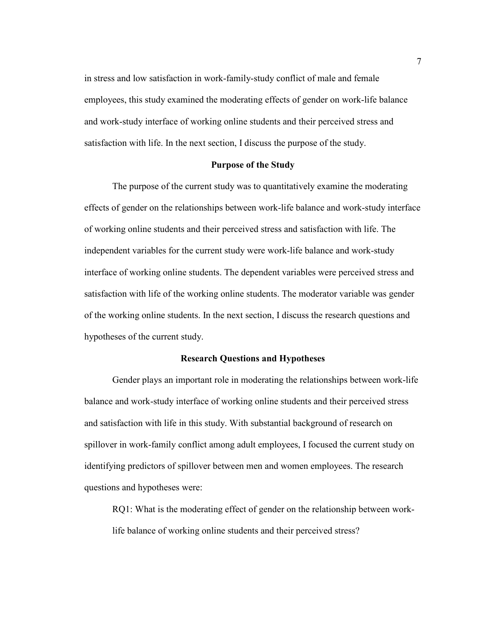in stress and low satisfaction in work-family-study conflict of male and female employees, this study examined the moderating effects of gender on work-life balance and work-study interface of working online students and their perceived stress and satisfaction with life. In the next section, I discuss the purpose of the study.

#### **Purpose of the Study**

The purpose of the current study was to quantitatively examine the moderating effects of gender on the relationships between work-life balance and work-study interface of working online students and their perceived stress and satisfaction with life. The independent variables for the current study were work-life balance and work-study interface of working online students. The dependent variables were perceived stress and satisfaction with life of the working online students. The moderator variable was gender of the working online students. In the next section, I discuss the research questions and hypotheses of the current study.

#### **Research Questions and Hypotheses**

Gender plays an important role in moderating the relationships between work-life balance and work-study interface of working online students and their perceived stress and satisfaction with life in this study. With substantial background of research on spillover in work-family conflict among adult employees, I focused the current study on identifying predictors of spillover between men and women employees. The research questions and hypotheses were:

RQ1: What is the moderating effect of gender on the relationship between worklife balance of working online students and their perceived stress?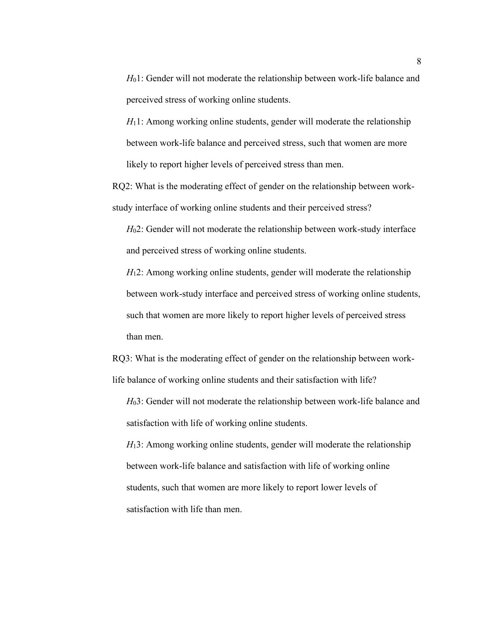*H*01: Gender will not moderate the relationship between work-life balance and perceived stress of working online students.

 $H_1$ 1: Among working online students, gender will moderate the relationship between work-life balance and perceived stress, such that women are more likely to report higher levels of perceived stress than men.

RQ2: What is the moderating effect of gender on the relationship between workstudy interface of working online students and their perceived stress?

*H*02: Gender will not moderate the relationship between work-study interface and perceived stress of working online students.

*H*<sub>1</sub>2: Among working online students, gender will moderate the relationship between work-study interface and perceived stress of working online students, such that women are more likely to report higher levels of perceived stress than men.

RQ3: What is the moderating effect of gender on the relationship between worklife balance of working online students and their satisfaction with life?

*H*03: Gender will not moderate the relationship between work-life balance and satisfaction with life of working online students.

*H*<sub>1</sub>3: Among working online students, gender will moderate the relationship between work-life balance and satisfaction with life of working online students, such that women are more likely to report lower levels of satisfaction with life than men.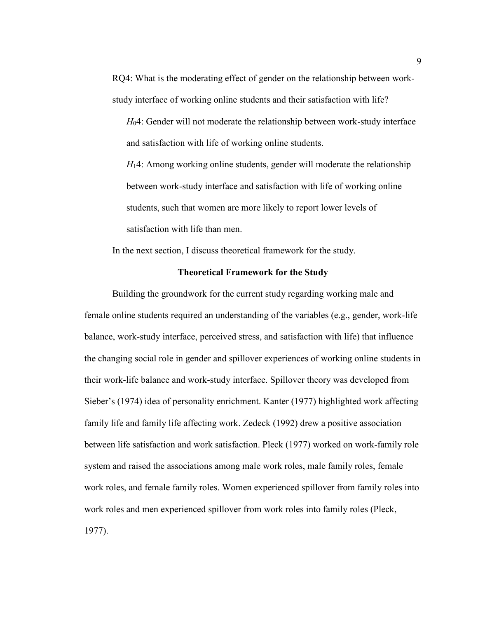RQ4: What is the moderating effect of gender on the relationship between workstudy interface of working online students and their satisfaction with life?

*H*04: Gender will not moderate the relationship between work-study interface and satisfaction with life of working online students.

*H*14: Among working online students, gender will moderate the relationship between work-study interface and satisfaction with life of working online students, such that women are more likely to report lower levels of satisfaction with life than men.

In the next section, I discuss theoretical framework for the study.

#### **Theoretical Framework for the Study**

Building the groundwork for the current study regarding working male and female online students required an understanding of the variables (e.g., gender, work-life balance, work-study interface, perceived stress, and satisfaction with life) that influence the changing social role in gender and spillover experiences of working online students in their work-life balance and work-study interface. Spillover theory was developed from Sieber's (1974) idea of personality enrichment. Kanter (1977) highlighted work affecting family life and family life affecting work. Zedeck (1992) drew a positive association between life satisfaction and work satisfaction. Pleck (1977) worked on work-family role system and raised the associations among male work roles, male family roles, female work roles, and female family roles. Women experienced spillover from family roles into work roles and men experienced spillover from work roles into family roles (Pleck, 1977).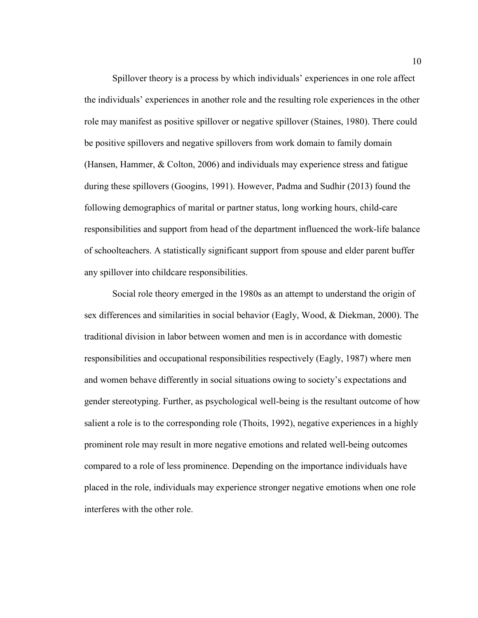Spillover theory is a process by which individuals' experiences in one role affect the individuals' experiences in another role and the resulting role experiences in the other role may manifest as positive spillover or negative spillover (Staines, 1980). There could be positive spillovers and negative spillovers from work domain to family domain (Hansen, Hammer, & Colton, 2006) and individuals may experience stress and fatigue during these spillovers (Googins, 1991). However, Padma and Sudhir (2013) found the following demographics of marital or partner status, long working hours, child-care responsibilities and support from head of the department influenced the work-life balance of schoolteachers. A statistically significant support from spouse and elder parent buffer any spillover into childcare responsibilities.

Social role theory emerged in the 1980s as an attempt to understand the origin of sex differences and similarities in social behavior (Eagly, Wood, & Diekman, 2000). The traditional division in labor between women and men is in accordance with domestic responsibilities and occupational responsibilities respectively (Eagly, 1987) where men and women behave differently in social situations owing to society's expectations and gender stereotyping. Further, as psychological well-being is the resultant outcome of how salient a role is to the corresponding role (Thoits, 1992), negative experiences in a highly prominent role may result in more negative emotions and related well-being outcomes compared to a role of less prominence. Depending on the importance individuals have placed in the role, individuals may experience stronger negative emotions when one role interferes with the other role.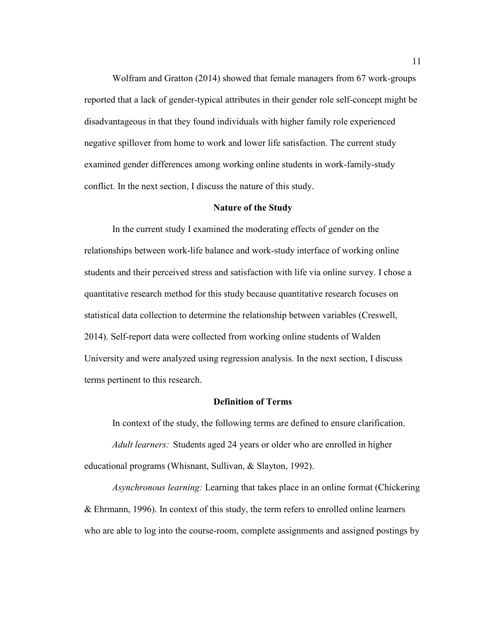Wolfram and Gratton (2014) showed that female managers from 67 work-groups reported that a lack of gender-typical attributes in their gender role self-concept might be disadvantageous in that they found individuals with higher family role experienced negative spillover from home to work and lower life satisfaction. The current study examined gender differences among working online students in work-family-study conflict. In the next section, I discuss the nature of this study.

#### **Nature of the Study**

In the current study I examined the moderating effects of gender on the relationships between work-life balance and work-study interface of working online students and their perceived stress and satisfaction with life via online survey. I chose a quantitative research method for this study because quantitative research focuses on statistical data collection to determine the relationship between variables (Creswell, 2014). Self-report data were collected from working online students of Walden University and were analyzed using regression analysis. In the next section, I discuss terms pertinent to this research.

#### **Definition of Terms**

In context of the study, the following terms are defined to ensure clarification. *Adult learners:* Students aged 24 years or older who are enrolled in higher educational programs (Whisnant, Sullivan, & Slayton, 1992).

*Asynchronous learning:* Learning that takes place in an online format (Chickering & Ehrmann, 1996). In context of this study, the term refers to enrolled online learners who are able to log into the course-room, complete assignments and assigned postings by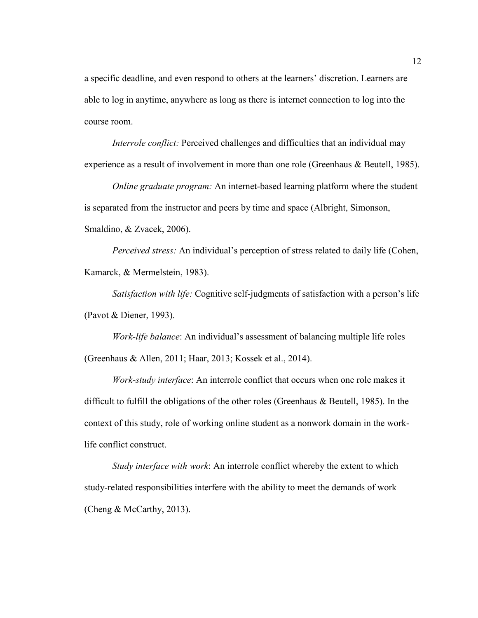a specific deadline, and even respond to others at the learners' discretion. Learners are able to log in anytime, anywhere as long as there is internet connection to log into the course room.

*Interrole conflict:* Perceived challenges and difficulties that an individual may experience as a result of involvement in more than one role (Greenhaus & Beutell, 1985).

*Online graduate program:* An internet-based learning platform where the student is separated from the instructor and peers by time and space (Albright, Simonson, Smaldino, & Zvacek, 2006).

*Perceived stress:* An individual's perception of stress related to daily life (Cohen, Kamarck, & Mermelstein, 1983).

*Satisfaction with life:* Cognitive self-judgments of satisfaction with a person's life (Pavot & Diener, 1993).

*Work-life balance*: An individual's assessment of balancing multiple life roles (Greenhaus & Allen, 2011; Haar, 2013; Kossek et al., 2014).

*Work-study interface*: An interrole conflict that occurs when one role makes it difficult to fulfill the obligations of the other roles (Greenhaus & Beutell, 1985). In the context of this study, role of working online student as a nonwork domain in the worklife conflict construct.

*Study interface with work*: An interrole conflict whereby the extent to which study-related responsibilities interfere with the ability to meet the demands of work (Cheng & McCarthy, 2013).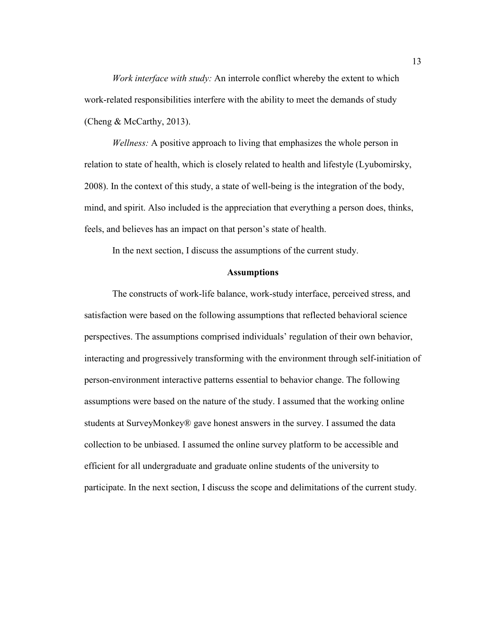*Work interface with study:* An interrole conflict whereby the extent to which work-related responsibilities interfere with the ability to meet the demands of study (Cheng & McCarthy, 2013).

*Wellness:* A positive approach to living that emphasizes the whole person in relation to state of health, which is closely related to health and lifestyle (Lyubomirsky, 2008). In the context of this study, a state of well-being is the integration of the body, mind, and spirit. Also included is the appreciation that everything a person does, thinks, feels, and believes has an impact on that person's state of health.

In the next section, I discuss the assumptions of the current study.

#### **Assumptions**

The constructs of work-life balance, work-study interface, perceived stress, and satisfaction were based on the following assumptions that reflected behavioral science perspectives. The assumptions comprised individuals' regulation of their own behavior, interacting and progressively transforming with the environment through self-initiation of person-environment interactive patterns essential to behavior change. The following assumptions were based on the nature of the study. I assumed that the working online students at SurveyMonkey® gave honest answers in the survey. I assumed the data collection to be unbiased. I assumed the online survey platform to be accessible and efficient for all undergraduate and graduate online students of the university to participate. In the next section, I discuss the scope and delimitations of the current study.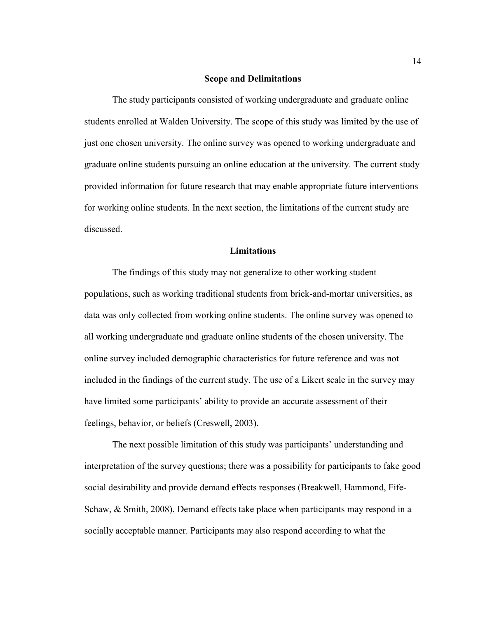#### **Scope and Delimitations**

The study participants consisted of working undergraduate and graduate online students enrolled at Walden University. The scope of this study was limited by the use of just one chosen university. The online survey was opened to working undergraduate and graduate online students pursuing an online education at the university. The current study provided information for future research that may enable appropriate future interventions for working online students. In the next section, the limitations of the current study are discussed.

#### **Limitations**

The findings of this study may not generalize to other working student populations, such as working traditional students from brick-and-mortar universities, as data was only collected from working online students. The online survey was opened to all working undergraduate and graduate online students of the chosen university. The online survey included demographic characteristics for future reference and was not included in the findings of the current study. The use of a Likert scale in the survey may have limited some participants' ability to provide an accurate assessment of their feelings, behavior, or beliefs (Creswell, 2003).

The next possible limitation of this study was participants' understanding and interpretation of the survey questions; there was a possibility for participants to fake good social desirability and provide demand effects responses (Breakwell, Hammond, Fife-Schaw, & Smith, 2008). Demand effects take place when participants may respond in a socially acceptable manner. Participants may also respond according to what the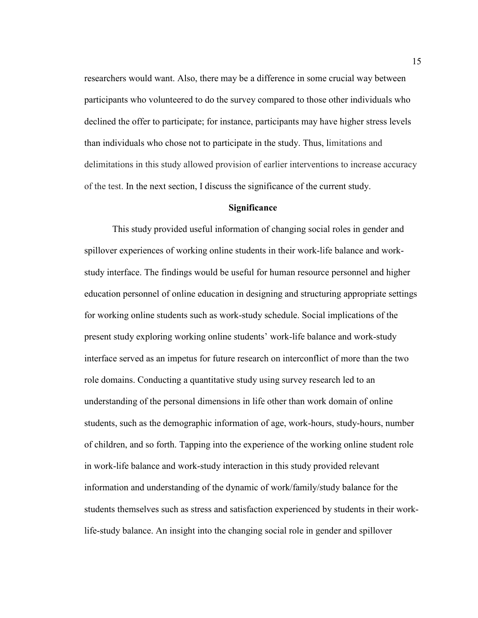researchers would want. Also, there may be a difference in some crucial way between participants who volunteered to do the survey compared to those other individuals who declined the offer to participate; for instance, participants may have higher stress levels than individuals who chose not to participate in the study. Thus, limitations and delimitations in this study allowed provision of earlier interventions to increase accuracy of the test. In the next section, I discuss the significance of the current study.

#### **Significance**

This study provided useful information of changing social roles in gender and spillover experiences of working online students in their work-life balance and workstudy interface. The findings would be useful for human resource personnel and higher education personnel of online education in designing and structuring appropriate settings for working online students such as work-study schedule. Social implications of the present study exploring working online students' work-life balance and work-study interface served as an impetus for future research on interconflict of more than the two role domains. Conducting a quantitative study using survey research led to an understanding of the personal dimensions in life other than work domain of online students, such as the demographic information of age, work-hours, study-hours, number of children, and so forth. Tapping into the experience of the working online student role in work-life balance and work-study interaction in this study provided relevant information and understanding of the dynamic of work/family/study balance for the students themselves such as stress and satisfaction experienced by students in their worklife-study balance. An insight into the changing social role in gender and spillover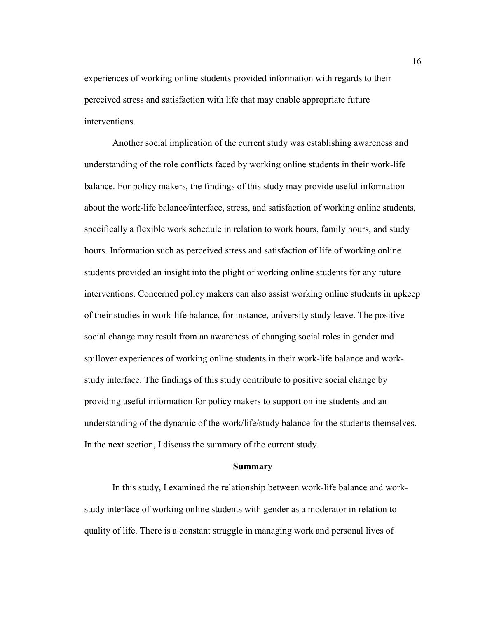experiences of working online students provided information with regards to their perceived stress and satisfaction with life that may enable appropriate future interventions.

Another social implication of the current study was establishing awareness and understanding of the role conflicts faced by working online students in their work-life balance. For policy makers, the findings of this study may provide useful information about the work-life balance/interface, stress, and satisfaction of working online students, specifically a flexible work schedule in relation to work hours, family hours, and study hours. Information such as perceived stress and satisfaction of life of working online students provided an insight into the plight of working online students for any future interventions. Concerned policy makers can also assist working online students in upkeep of their studies in work-life balance, for instance, university study leave. The positive social change may result from an awareness of changing social roles in gender and spillover experiences of working online students in their work-life balance and workstudy interface. The findings of this study contribute to positive social change by providing useful information for policy makers to support online students and an understanding of the dynamic of the work/life/study balance for the students themselves. In the next section, I discuss the summary of the current study.

#### **Summary**

In this study, I examined the relationship between work-life balance and workstudy interface of working online students with gender as a moderator in relation to quality of life. There is a constant struggle in managing work and personal lives of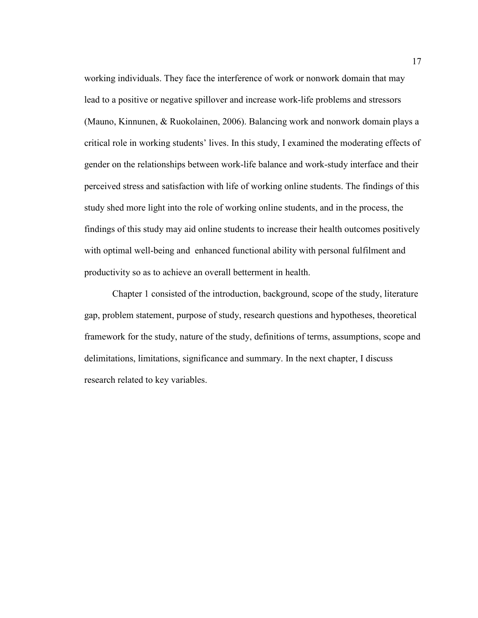working individuals. They face the interference of work or nonwork domain that may lead to a positive or negative spillover and increase work-life problems and stressors (Mauno, Kinnunen, & Ruokolainen, 2006). Balancing work and nonwork domain plays a critical role in working students' lives. In this study, I examined the moderating effects of gender on the relationships between work-life balance and work-study interface and their perceived stress and satisfaction with life of working online students. The findings of this study shed more light into the role of working online students, and in the process, the findings of this study may aid online students to increase their health outcomes positively with optimal well-being and enhanced functional ability with personal fulfilment and productivity so as to achieve an overall betterment in health.

Chapter 1 consisted of the introduction, background, scope of the study, literature gap, problem statement, purpose of study, research questions and hypotheses, theoretical framework for the study, nature of the study, definitions of terms, assumptions, scope and delimitations, limitations, significance and summary. In the next chapter, I discuss research related to key variables.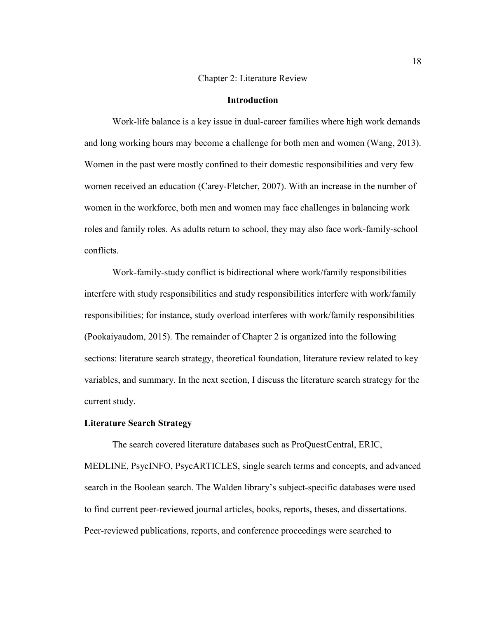#### Chapter 2: Literature Review

#### **Introduction**

Work-life balance is a key issue in dual-career families where high work demands and long working hours may become a challenge for both men and women (Wang, 2013). Women in the past were mostly confined to their domestic responsibilities and very few women received an education (Carey-Fletcher, 2007). With an increase in the number of women in the workforce, both men and women may face challenges in balancing work roles and family roles. As adults return to school, they may also face work-family-school conflicts.

Work-family-study conflict is bidirectional where work/family responsibilities interfere with study responsibilities and study responsibilities interfere with work/family responsibilities; for instance, study overload interferes with work/family responsibilities (Pookaiyaudom, 2015). The remainder of Chapter 2 is organized into the following sections: literature search strategy, theoretical foundation, literature review related to key variables, and summary. In the next section, I discuss the literature search strategy for the current study.

#### **Literature Search Strategy**

The search covered literature databases such as ProQuestCentral, ERIC, MEDLINE, PsycINFO, PsycARTICLES, single search terms and concepts, and advanced search in the Boolean search. The Walden library's subject-specific databases were used to find current peer-reviewed journal articles, books, reports, theses, and dissertations. Peer-reviewed publications, reports, and conference proceedings were searched to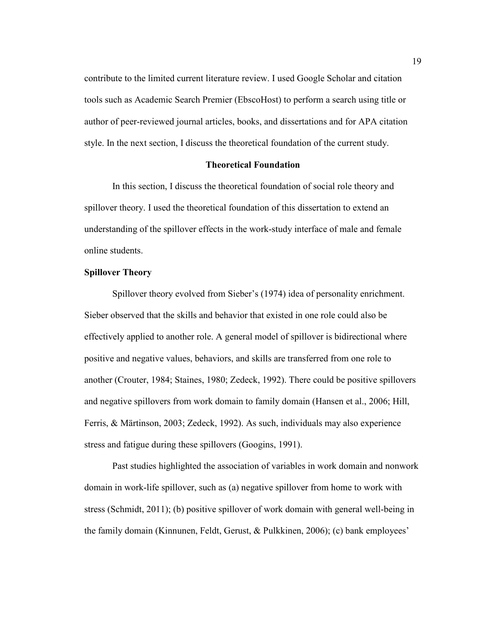contribute to the limited current literature review. I used Google Scholar and citation tools such as Academic Search Premier (EbscoHost) to perform a search using title or author of peer-reviewed journal articles, books, and dissertations and for APA citation style. In the next section, I discuss the theoretical foundation of the current study.

#### **Theoretical Foundation**

In this section, I discuss the theoretical foundation of social role theory and spillover theory. I used the theoretical foundation of this dissertation to extend an understanding of the spillover effects in the work-study interface of male and female online students.

#### **Spillover Theory**

Spillover theory evolved from Sieber's (1974) idea of personality enrichment. Sieber observed that the skills and behavior that existed in one role could also be effectively applied to another role. A general model of spillover is bidirectional where positive and negative values, behaviors, and skills are transferred from one role to another (Crouter, 1984; Staines, 1980; Zedeck, 1992). There could be positive spillovers and negative spillovers from work domain to family domain (Hansen et al., 2006; Hill, Ferris, & Märtinson, 2003; Zedeck, 1992). As such, individuals may also experience stress and fatigue during these spillovers (Googins, 1991).

Past studies highlighted the association of variables in work domain and nonwork domain in work-life spillover, such as (a) negative spillover from home to work with stress (Schmidt, 2011); (b) positive spillover of work domain with general well-being in the family domain (Kinnunen, Feldt, Gerust, & Pulkkinen, 2006); (c) bank employees'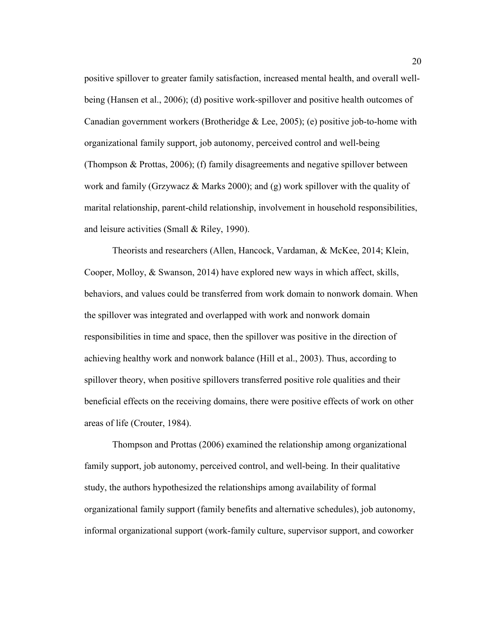positive spillover to greater family satisfaction, increased mental health, and overall wellbeing (Hansen et al., 2006); (d) positive work-spillover and positive health outcomes of Canadian government workers (Brotheridge  $\&$  Lee, 2005); (e) positive job-to-home with organizational family support, job autonomy, perceived control and well-being (Thompson & Prottas, 2006); (f) family disagreements and negative spillover between work and family (Grzywacz & Marks 2000); and (g) work spillover with the quality of marital relationship, parent-child relationship, involvement in household responsibilities, and leisure activities (Small & Riley, 1990).

Theorists and researchers (Allen, Hancock, Vardaman, & McKee, 2014; Klein, Cooper, Molloy, & Swanson, 2014) have explored new ways in which affect, skills, behaviors, and values could be transferred from work domain to nonwork domain. When the spillover was integrated and overlapped with work and nonwork domain responsibilities in time and space, then the spillover was positive in the direction of achieving healthy work and nonwork balance (Hill et al., 2003). Thus, according to spillover theory, when positive spillovers transferred positive role qualities and their beneficial effects on the receiving domains, there were positive effects of work on other areas of life (Crouter, 1984).

Thompson and Prottas (2006) examined the relationship among organizational family support, job autonomy, perceived control, and well-being. In their qualitative study, the authors hypothesized the relationships among availability of formal organizational family support (family benefits and alternative schedules), job autonomy, informal organizational support (work-family culture, supervisor support, and coworker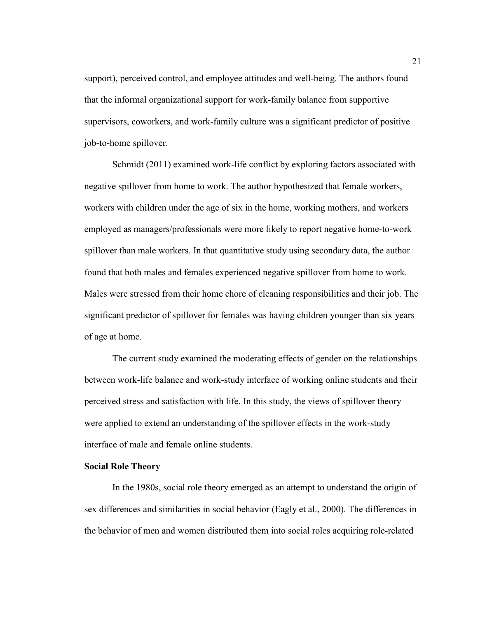support), perceived control, and employee attitudes and well-being. The authors found that the informal organizational support for work-family balance from supportive supervisors, coworkers, and work-family culture was a significant predictor of positive job-to-home spillover.

Schmidt (2011) examined work-life conflict by exploring factors associated with negative spillover from home to work. The author hypothesized that female workers, workers with children under the age of six in the home, working mothers, and workers employed as managers/professionals were more likely to report negative home-to-work spillover than male workers. In that quantitative study using secondary data, the author found that both males and females experienced negative spillover from home to work. Males were stressed from their home chore of cleaning responsibilities and their job. The significant predictor of spillover for females was having children younger than six years of age at home.

The current study examined the moderating effects of gender on the relationships between work-life balance and work-study interface of working online students and their perceived stress and satisfaction with life. In this study, the views of spillover theory were applied to extend an understanding of the spillover effects in the work-study interface of male and female online students.

#### **Social Role Theory**

In the 1980s, social role theory emerged as an attempt to understand the origin of sex differences and similarities in social behavior (Eagly et al., 2000). The differences in the behavior of men and women distributed them into social roles acquiring role-related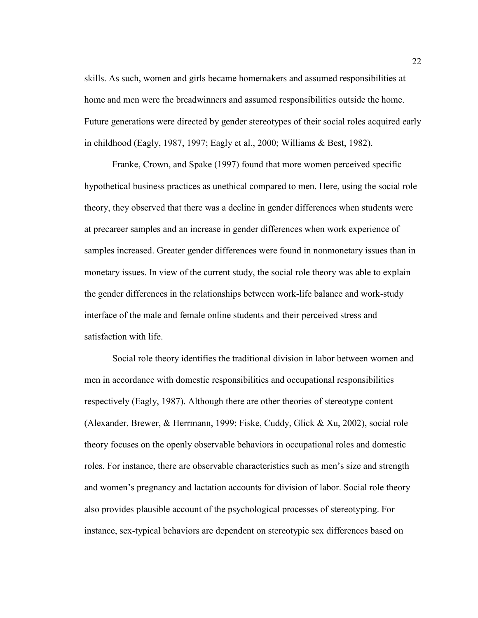skills. As such, women and girls became homemakers and assumed responsibilities at home and men were the breadwinners and assumed responsibilities outside the home. Future generations were directed by gender stereotypes of their social roles acquired early in childhood (Eagly, 1987, 1997; Eagly et al., 2000; Williams & Best, 1982).

Franke, Crown, and Spake (1997) found that more women perceived specific hypothetical business practices as unethical compared to men. Here, using the social role theory, they observed that there was a decline in gender differences when students were at precareer samples and an increase in gender differences when work experience of samples increased. Greater gender differences were found in nonmonetary issues than in monetary issues. In view of the current study, the social role theory was able to explain the gender differences in the relationships between work-life balance and work-study interface of the male and female online students and their perceived stress and satisfaction with life.

Social role theory identifies the traditional division in labor between women and men in accordance with domestic responsibilities and occupational responsibilities respectively (Eagly, 1987). Although there are other theories of stereotype content (Alexander, Brewer, & Herrmann, 1999; Fiske, Cuddy, Glick & Xu, 2002), social role theory focuses on the openly observable behaviors in occupational roles and domestic roles. For instance, there are observable characteristics such as men's size and strength and women's pregnancy and lactation accounts for division of labor. Social role theory also provides plausible account of the psychological processes of stereotyping. For instance, sex-typical behaviors are dependent on stereotypic sex differences based on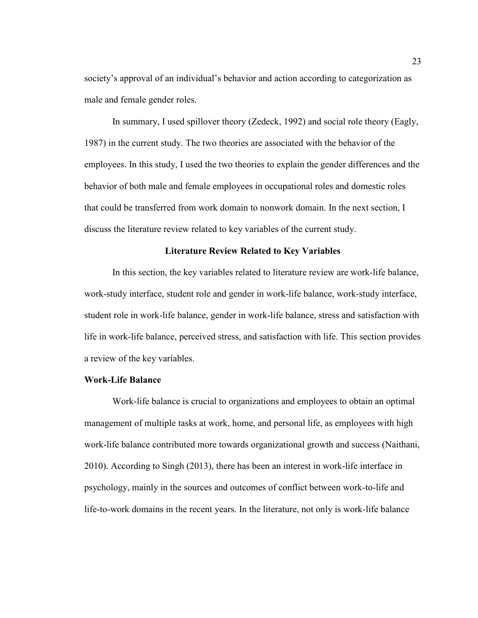society's approval of an individual's behavior and action according to categorization as male and female gender roles.

In summary, I used spillover theory (Zedeck, 1992) and social role theory (Eagly, 1987) in the current study. The two theories are associated with the behavior of the employees. In this study, I used the two theories to explain the gender differences and the behavior of both male and female employees in occupational roles and domestic roles that could be transferred from work domain to nonwork domain. In the next section, I discuss the literature review related to key variables of the current study.

#### **Literature Review Related to Key Variables**

In this section, the key variables related to literature review are work-life balance, work-study interface, student role and gender in work-life balance, work-study interface, student role in work-life balance, gender in work-life balance, stress and satisfaction with life in work-life balance, perceived stress, and satisfaction with life. This section provides a review of the key variables.

#### **Work-Life Balance**

Work-life balance is crucial to organizations and employees to obtain an optimal management of multiple tasks at work, home, and personal life, as employees with high work-life balance contributed more towards organizational growth and success (Naithani, 2010). According to Singh (2013), there has been an interest in work-life interface in psychology, mainly in the sources and outcomes of conflict between work-to-life and life-to-work domains in the recent years. In the literature, not only is work-life balance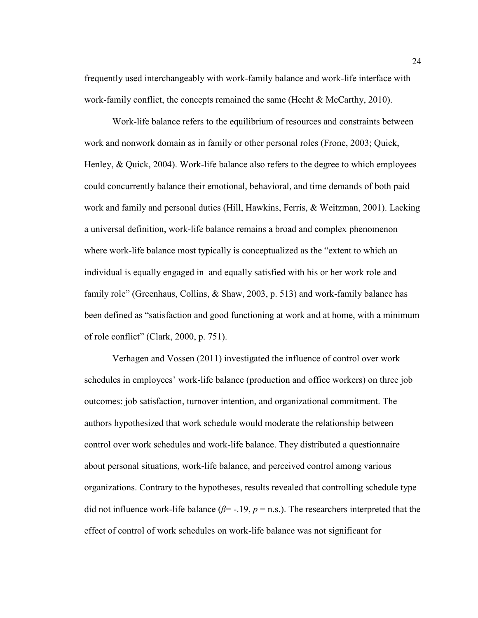frequently used interchangeably with work-family balance and work-life interface with work-family conflict, the concepts remained the same (Hecht  $\& \text{McCarthy}, 2010$ ).

Work-life balance refers to the equilibrium of resources and constraints between work and nonwork domain as in family or other personal roles (Frone, 2003; Quick, Henley, & Quick, 2004). Work-life balance also refers to the degree to which employees could concurrently balance their emotional, behavioral, and time demands of both paid work and family and personal duties (Hill, Hawkins, Ferris, & Weitzman, 2001). Lacking a universal definition, work-life balance remains a broad and complex phenomenon where work-life balance most typically is conceptualized as the "extent to which an individual is equally engaged in–and equally satisfied with his or her work role and family role" (Greenhaus, Collins, & Shaw, 2003, p. 513) and work-family balance has been defined as "satisfaction and good functioning at work and at home, with a minimum of role conflict" (Clark, 2000, p. 751).

Verhagen and Vossen (2011) investigated the influence of control over work schedules in employees' work-life balance (production and office workers) on three job outcomes: job satisfaction, turnover intention, and organizational commitment. The authors hypothesized that work schedule would moderate the relationship between control over work schedules and work-life balance. They distributed a questionnaire about personal situations, work-life balance, and perceived control among various organizations. Contrary to the hypotheses, results revealed that controlling schedule type did not influence work-life balance ( $\beta$ = -.19,  $p$  = n.s.). The researchers interpreted that the effect of control of work schedules on work-life balance was not significant for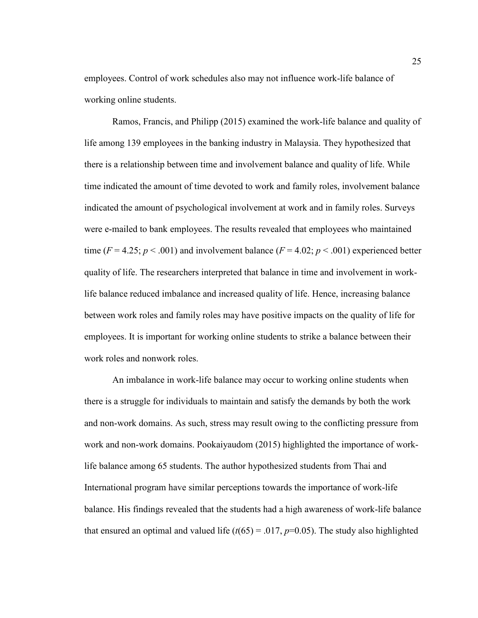employees. Control of work schedules also may not influence work-life balance of working online students.

Ramos, Francis, and Philipp (2015) examined the work-life balance and quality of life among 139 employees in the banking industry in Malaysia. They hypothesized that there is a relationship between time and involvement balance and quality of life. While time indicated the amount of time devoted to work and family roles, involvement balance indicated the amount of psychological involvement at work and in family roles. Surveys were e-mailed to bank employees. The results revealed that employees who maintained time ( $F = 4.25$ ;  $p < .001$ ) and involvement balance ( $F = 4.02$ ;  $p < .001$ ) experienced better quality of life. The researchers interpreted that balance in time and involvement in worklife balance reduced imbalance and increased quality of life. Hence, increasing balance between work roles and family roles may have positive impacts on the quality of life for employees. It is important for working online students to strike a balance between their work roles and nonwork roles.

An imbalance in work-life balance may occur to working online students when there is a struggle for individuals to maintain and satisfy the demands by both the work and non-work domains. As such, stress may result owing to the conflicting pressure from work and non-work domains. Pookaiyaudom (2015) highlighted the importance of worklife balance among 65 students. The author hypothesized students from Thai and International program have similar perceptions towards the importance of work-life balance. His findings revealed that the students had a high awareness of work-life balance that ensured an optimal and valued life  $(t(65) = .017, p=0.05)$ . The study also highlighted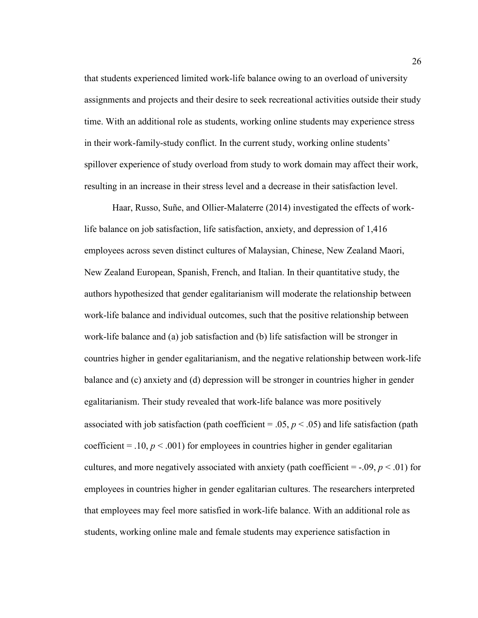that students experienced limited work-life balance owing to an overload of university assignments and projects and their desire to seek recreational activities outside their study time. With an additional role as students, working online students may experience stress in their work-family-study conflict. In the current study, working online students' spillover experience of study overload from study to work domain may affect their work, resulting in an increase in their stress level and a decrease in their satisfaction level.

Haar, Russo, Suñe, and Ollier-Malaterre (2014) investigated the effects of worklife balance on job satisfaction, life satisfaction, anxiety, and depression of 1,416 employees across seven distinct cultures of Malaysian, Chinese, New Zealand Maori, New Zealand European, Spanish, French, and Italian. In their quantitative study, the authors hypothesized that gender egalitarianism will moderate the relationship between work-life balance and individual outcomes, such that the positive relationship between work-life balance and (a) job satisfaction and (b) life satisfaction will be stronger in countries higher in gender egalitarianism, and the negative relationship between work-life balance and (c) anxiety and (d) depression will be stronger in countries higher in gender egalitarianism. Their study revealed that work-life balance was more positively associated with job satisfaction (path coefficient  $= .05, p < .05$ ) and life satisfaction (path coefficient =  $.10, p < .001$ ) for employees in countries higher in gender egalitarian cultures, and more negatively associated with anxiety (path coefficient  $=$  -.09,  $p \le 0.01$ ) for employees in countries higher in gender egalitarian cultures. The researchers interpreted that employees may feel more satisfied in work-life balance. With an additional role as students, working online male and female students may experience satisfaction in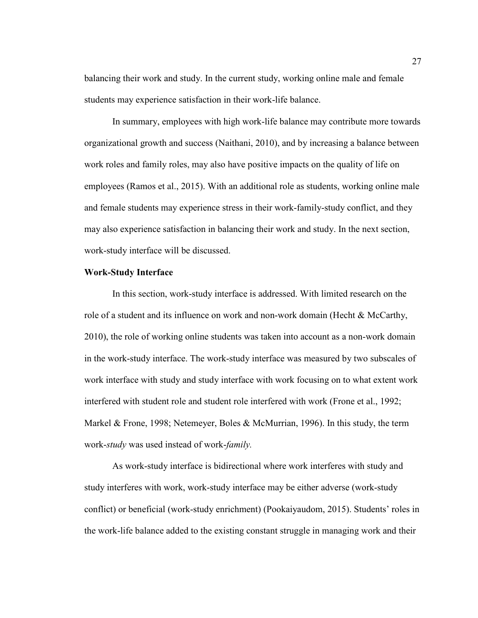balancing their work and study. In the current study, working online male and female students may experience satisfaction in their work-life balance.

In summary, employees with high work-life balance may contribute more towards organizational growth and success (Naithani, 2010), and by increasing a balance between work roles and family roles, may also have positive impacts on the quality of life on employees (Ramos et al., 2015). With an additional role as students, working online male and female students may experience stress in their work-family-study conflict, and they may also experience satisfaction in balancing their work and study. In the next section, work-study interface will be discussed.

# **Work-Study Interface**

In this section, work-study interface is addressed. With limited research on the role of a student and its influence on work and non-work domain (Hecht & McCarthy, 2010), the role of working online students was taken into account as a non-work domain in the work-study interface. The work-study interface was measured by two subscales of work interface with study and study interface with work focusing on to what extent work interfered with student role and student role interfered with work (Frone et al., 1992; Markel & Frone, 1998; Netemeyer, Boles & McMurrian, 1996). In this study, the term work-*study* was used instead of work-*family.*

As work-study interface is bidirectional where work interferes with study and study interferes with work, work-study interface may be either adverse (work-study conflict) or beneficial (work-study enrichment) (Pookaiyaudom, 2015). Students' roles in the work-life balance added to the existing constant struggle in managing work and their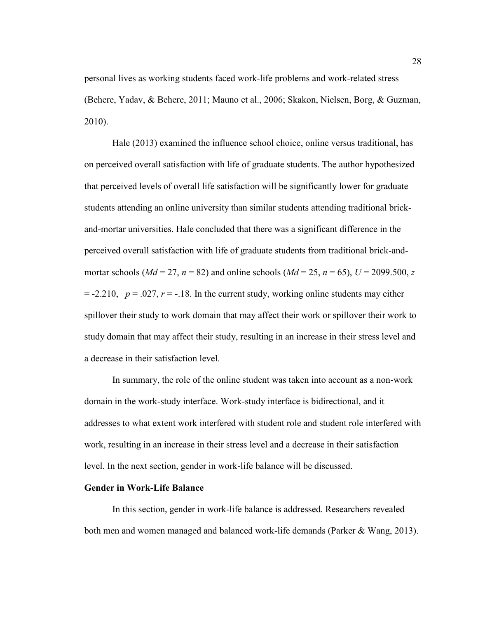personal lives as working students faced work-life problems and work-related stress (Behere, Yadav, & Behere, 2011; Mauno et al., 2006; Skakon, Nielsen, Borg, & Guzman, 2010).

Hale (2013) examined the influence school choice, online versus traditional, has on perceived overall satisfaction with life of graduate students. The author hypothesized that perceived levels of overall life satisfaction will be significantly lower for graduate students attending an online university than similar students attending traditional brickand-mortar universities. Hale concluded that there was a significant difference in the perceived overall satisfaction with life of graduate students from traditional brick-andmortar schools ( $Md = 27$ ,  $n = 82$ ) and online schools ( $Md = 25$ ,  $n = 65$ ),  $U = 2099.500$ , *z*  $= -2.210$ ,  $p = .027$ ,  $r = -.18$ . In the current study, working online students may either spillover their study to work domain that may affect their work or spillover their work to study domain that may affect their study, resulting in an increase in their stress level and a decrease in their satisfaction level.

In summary, the role of the online student was taken into account as a non-work domain in the work-study interface. Work-study interface is bidirectional, and it addresses to what extent work interfered with student role and student role interfered with work, resulting in an increase in their stress level and a decrease in their satisfaction level. In the next section, gender in work-life balance will be discussed.

#### **Gender in Work-Life Balance**

In this section, gender in work-life balance is addressed. Researchers revealed both men and women managed and balanced work-life demands (Parker & Wang, 2013).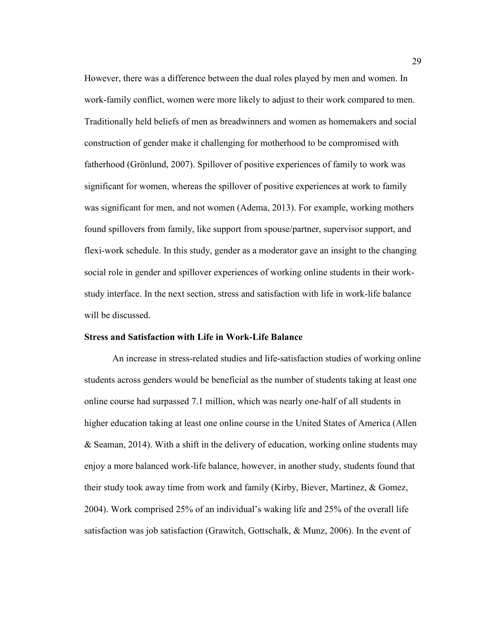However, there was a difference between the dual roles played by men and women. In work-family conflict, women were more likely to adjust to their work compared to men. Traditionally held beliefs of men as breadwinners and women as homemakers and social construction of gender make it challenging for motherhood to be compromised with fatherhood (Grönlund, 2007). Spillover of positive experiences of family to work was significant for women, whereas the spillover of positive experiences at work to family was significant for men, and not women (Adema, 2013). For example, working mothers found spillovers from family, like support from spouse/partner, supervisor support, and flexi-work schedule. In this study, gender as a moderator gave an insight to the changing social role in gender and spillover experiences of working online students in their workstudy interface. In the next section, stress and satisfaction with life in work-life balance will be discussed.

#### **Stress and Satisfaction with Life in Work-Life Balance**

An increase in stress-related studies and life-satisfaction studies of working online students across genders would be beneficial as the number of students taking at least one online course had surpassed 7.1 million, which was nearly one-half of all students in higher education taking at least one online course in the United States of America (Allen & Seaman, 2014). With a shift in the delivery of education, working online students may enjoy a more balanced work-life balance, however, in another study, students found that their study took away time from work and family (Kirby, Biever, Martinez, & Gomez, 2004). Work comprised 25% of an individual's waking life and 25% of the overall life satisfaction was job satisfaction (Grawitch, Gottschalk, & Munz, 2006). In the event of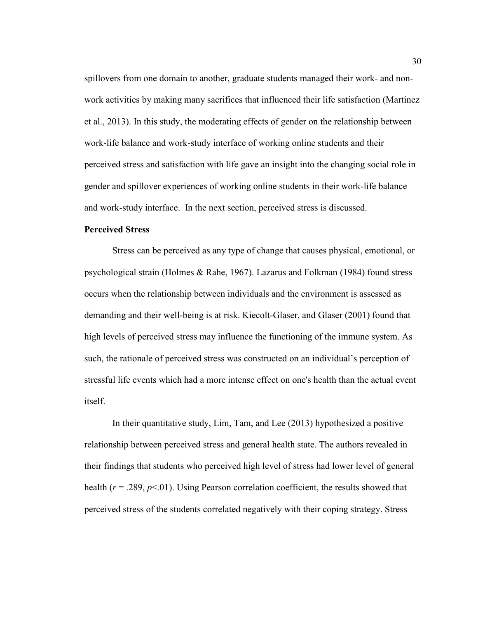spillovers from one domain to another, graduate students managed their work- and nonwork activities by making many sacrifices that influenced their life satisfaction (Martinez et al., 2013). In this study, the moderating effects of gender on the relationship between work-life balance and work-study interface of working online students and their perceived stress and satisfaction with life gave an insight into the changing social role in gender and spillover experiences of working online students in their work-life balance and work-study interface. In the next section, perceived stress is discussed.

# **Perceived Stress**

Stress can be perceived as any type of change that causes physical, emotional, or psychological strain (Holmes & Rahe, 1967). Lazarus and Folkman (1984) found stress occurs when the relationship between individuals and the environment is assessed as demanding and their well-being is at risk. Kiecolt-Glaser, and Glaser (2001) found that high levels of perceived stress may influence the functioning of the immune system. As such, the rationale of perceived stress was constructed on an individual's perception of stressful life events which had a more intense effect on one's health than the actual event itself.

In their quantitative study, Lim, Tam, and Lee (2013) hypothesized a positive relationship between perceived stress and general health state. The authors revealed in their findings that students who perceived high level of stress had lower level of general health  $(r = .289, p < .01)$ . Using Pearson correlation coefficient, the results showed that perceived stress of the students correlated negatively with their coping strategy. Stress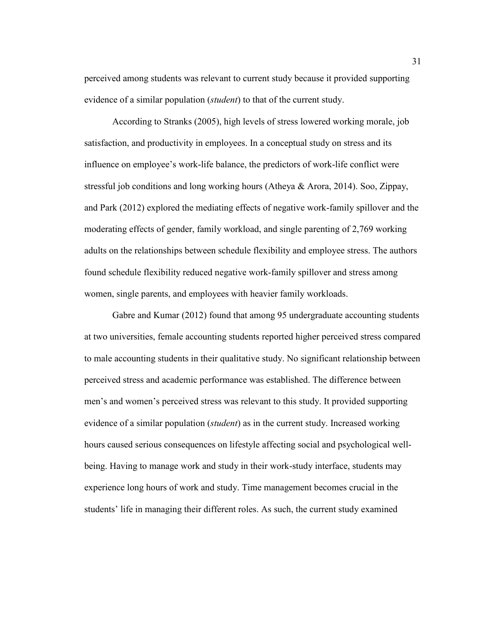perceived among students was relevant to current study because it provided supporting evidence of a similar population (*student*) to that of the current study.

According to Stranks (2005), high levels of stress lowered working morale, job satisfaction, and productivity in employees. In a conceptual study on stress and its influence on employee's work-life balance, the predictors of work-life conflict were stressful job conditions and long working hours (Atheya & Arora, 2014). Soo, Zippay, and Park (2012) explored the mediating effects of negative work-family spillover and the moderating effects of gender, family workload, and single parenting of 2,769 working adults on the relationships between schedule flexibility and employee stress. The authors found schedule flexibility reduced negative work-family spillover and stress among women, single parents, and employees with heavier family workloads.

Gabre and Kumar (2012) found that among 95 undergraduate accounting students at two universities, female accounting students reported higher perceived stress compared to male accounting students in their qualitative study. No significant relationship between perceived stress and academic performance was established. The difference between men's and women's perceived stress was relevant to this study. It provided supporting evidence of a similar population (*student*) as in the current study. Increased working hours caused serious consequences on lifestyle affecting social and psychological wellbeing. Having to manage work and study in their work-study interface, students may experience long hours of work and study. Time management becomes crucial in the students' life in managing their different roles. As such, the current study examined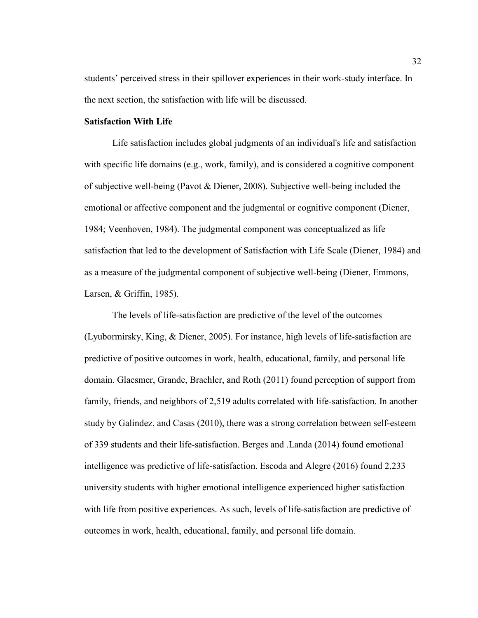students' perceived stress in their spillover experiences in their work-study interface. In the next section, the satisfaction with life will be discussed.

# **Satisfaction With Life**

Life satisfaction includes global judgments of an individual's life and satisfaction with specific life domains (e.g., work, family), and is considered a cognitive component of subjective well-being (Pavot & Diener, 2008). Subjective well-being included the emotional or affective component and the judgmental or cognitive component (Diener, 1984; Veenhoven, 1984). The judgmental component was conceptualized as life satisfaction that led to the development of Satisfaction with Life Scale (Diener, 1984) and as a measure of the judgmental component of subjective well-being (Diener, Emmons, Larsen, & Griffin, 1985).

The levels of life-satisfaction are predictive of the level of the outcomes (Lyubormirsky, King, & Diener, 2005). For instance, high levels of life-satisfaction are predictive of positive outcomes in work, health, educational, family, and personal life domain. Glaesmer, Grande, Brachler, and Roth (2011) found perception of support from family, friends, and neighbors of 2,519 adults correlated with life-satisfaction. In another study by Galindez, and Casas (2010), there was a strong correlation between self-esteem of 339 students and their life-satisfaction. Berges and .Landa (2014) found emotional intelligence was predictive of life-satisfaction. Escoda and Alegre (2016) found 2,233 university students with higher emotional intelligence experienced higher satisfaction with life from positive experiences. As such, levels of life-satisfaction are predictive of outcomes in work, health, educational, family, and personal life domain.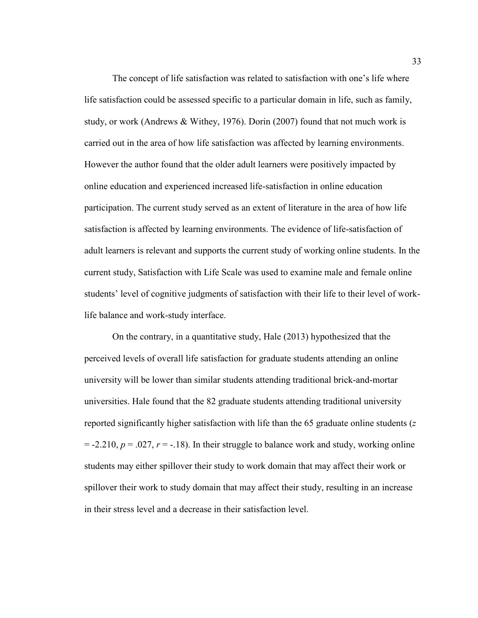The concept of life satisfaction was related to satisfaction with one's life where life satisfaction could be assessed specific to a particular domain in life, such as family, study, or work (Andrews & Withey, 1976). Dorin (2007) found that not much work is carried out in the area of how life satisfaction was affected by learning environments. However the author found that the older adult learners were positively impacted by online education and experienced increased life-satisfaction in online education participation. The current study served as an extent of literature in the area of how life satisfaction is affected by learning environments. The evidence of life-satisfaction of adult learners is relevant and supports the current study of working online students. In the current study, Satisfaction with Life Scale was used to examine male and female online students' level of cognitive judgments of satisfaction with their life to their level of worklife balance and work-study interface.

On the contrary, in a quantitative study, Hale (2013) hypothesized that the perceived levels of overall life satisfaction for graduate students attending an online university will be lower than similar students attending traditional brick-and-mortar universities. Hale found that the 82 graduate students attending traditional university reported significantly higher satisfaction with life than the 65 graduate online students (*z*   $= -2.210$ ,  $p = 0.027$ ,  $r = -18$ ). In their struggle to balance work and study, working online students may either spillover their study to work domain that may affect their work or spillover their work to study domain that may affect their study, resulting in an increase in their stress level and a decrease in their satisfaction level.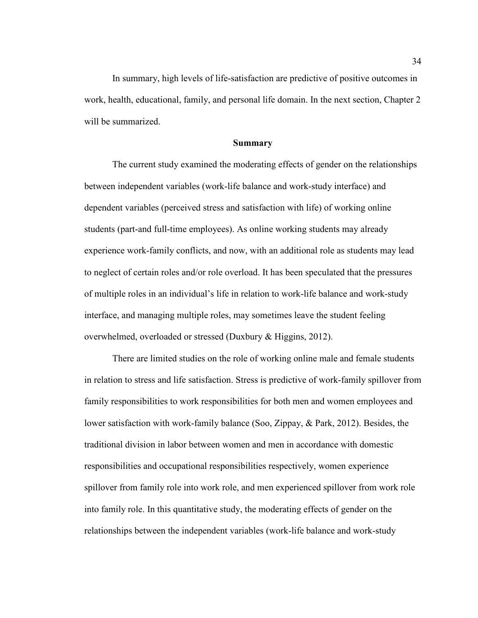In summary, high levels of life-satisfaction are predictive of positive outcomes in work, health, educational, family, and personal life domain. In the next section, Chapter 2 will be summarized.

# **Summary**

The current study examined the moderating effects of gender on the relationships between independent variables (work-life balance and work-study interface) and dependent variables (perceived stress and satisfaction with life) of working online students (part-and full-time employees). As online working students may already experience work-family conflicts, and now, with an additional role as students may lead to neglect of certain roles and/or role overload. It has been speculated that the pressures of multiple roles in an individual's life in relation to work-life balance and work-study interface, and managing multiple roles, may sometimes leave the student feeling overwhelmed, overloaded or stressed (Duxbury & Higgins, 2012).

There are limited studies on the role of working online male and female students in relation to stress and life satisfaction. Stress is predictive of work-family spillover from family responsibilities to work responsibilities for both men and women employees and lower satisfaction with work-family balance (Soo, Zippay, & Park, 2012). Besides, the traditional division in labor between women and men in accordance with domestic responsibilities and occupational responsibilities respectively, women experience spillover from family role into work role, and men experienced spillover from work role into family role. In this quantitative study, the moderating effects of gender on the relationships between the independent variables (work-life balance and work-study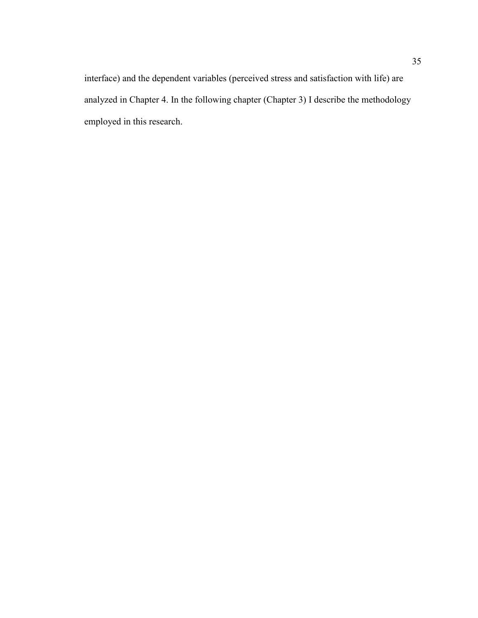interface) and the dependent variables (perceived stress and satisfaction with life) are analyzed in Chapter 4. In the following chapter (Chapter 3) I describe the methodology employed in this research.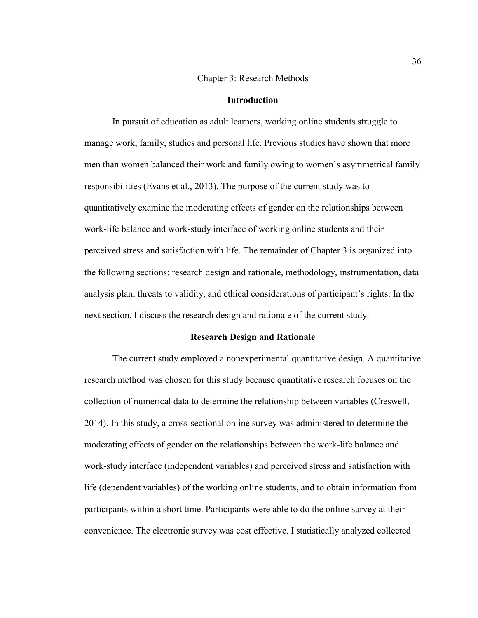#### Chapter 3: Research Methods

# **Introduction**

In pursuit of education as adult learners, working online students struggle to manage work, family, studies and personal life. Previous studies have shown that more men than women balanced their work and family owing to women's asymmetrical family responsibilities (Evans et al., 2013). The purpose of the current study was to quantitatively examine the moderating effects of gender on the relationships between work-life balance and work-study interface of working online students and their perceived stress and satisfaction with life. The remainder of Chapter 3 is organized into the following sections: research design and rationale, methodology, instrumentation, data analysis plan, threats to validity, and ethical considerations of participant's rights. In the next section, I discuss the research design and rationale of the current study.

# **Research Design and Rationale**

The current study employed a nonexperimental quantitative design. A quantitative research method was chosen for this study because quantitative research focuses on the collection of numerical data to determine the relationship between variables (Creswell, 2014). In this study, a cross-sectional online survey was administered to determine the moderating effects of gender on the relationships between the work-life balance and work-study interface (independent variables) and perceived stress and satisfaction with life (dependent variables) of the working online students, and to obtain information from participants within a short time. Participants were able to do the online survey at their convenience. The electronic survey was cost effective. I statistically analyzed collected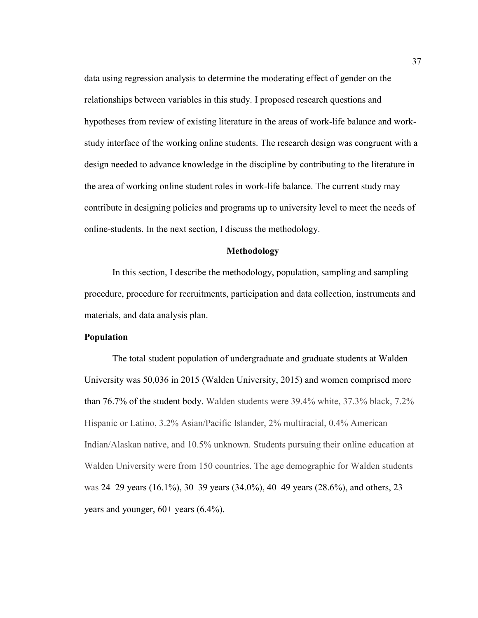data using regression analysis to determine the moderating effect of gender on the relationships between variables in this study. I proposed research questions and hypotheses from review of existing literature in the areas of work-life balance and workstudy interface of the working online students. The research design was congruent with a design needed to advance knowledge in the discipline by contributing to the literature in the area of working online student roles in work-life balance. The current study may contribute in designing policies and programs up to university level to meet the needs of online-students. In the next section, I discuss the methodology.

#### **Methodology**

In this section, I describe the methodology, population, sampling and sampling procedure, procedure for recruitments, participation and data collection, instruments and materials, and data analysis plan.

# **Population**

The total student population of undergraduate and graduate students at Walden University was 50,036 in 2015 (Walden University, 2015) and women comprised more than 76.7% of the student body. Walden students were 39.4% white, 37.3% black, 7.2% Hispanic or Latino, 3.2% Asian/Pacific Islander, 2% multiracial, 0.4% American Indian/Alaskan native, and 10.5% unknown. Students pursuing their online education at Walden University were from 150 countries. The age demographic for Walden students was 24–29 years (16.1%), 30–39 years (34.0%), 40–49 years (28.6%), and others, 23 years and younger, 60+ years (6.4%).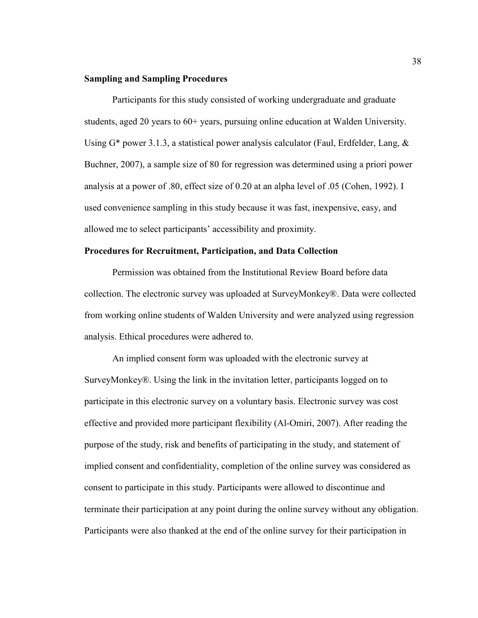# **Sampling and Sampling Procedures**

Participants for this study consisted of working undergraduate and graduate students, aged 20 years to 60+ years, pursuing online education at Walden University. Using  $G^*$  power 3.1.3, a statistical power analysis calculator (Faul, Erdfelder, Lang,  $\&$ Buchner, 2007), a sample size of 80 for regression was determined using a priori power analysis at a power of .80, effect size of 0.20 at an alpha level of .05 (Cohen, 1992). I used convenience sampling in this study because it was fast, inexpensive, easy, and allowed me to select participants' accessibility and proximity.

# **Procedures for Recruitment, Participation, and Data Collection**

Permission was obtained from the Institutional Review Board before data collection. The electronic survey was uploaded at SurveyMonkey®. Data were collected from working online students of Walden University and were analyzed using regression analysis. Ethical procedures were adhered to.

An implied consent form was uploaded with the electronic survey at SurveyMonkey®. Using the link in the invitation letter, participants logged on to participate in this electronic survey on a voluntary basis. Electronic survey was cost effective and provided more participant flexibility (Al-Omiri, 2007). After reading the purpose of the study, risk and benefits of participating in the study, and statement of implied consent and confidentiality, completion of the online survey was considered as consent to participate in this study. Participants were allowed to discontinue and terminate their participation at any point during the online survey without any obligation. Participants were also thanked at the end of the online survey for their participation in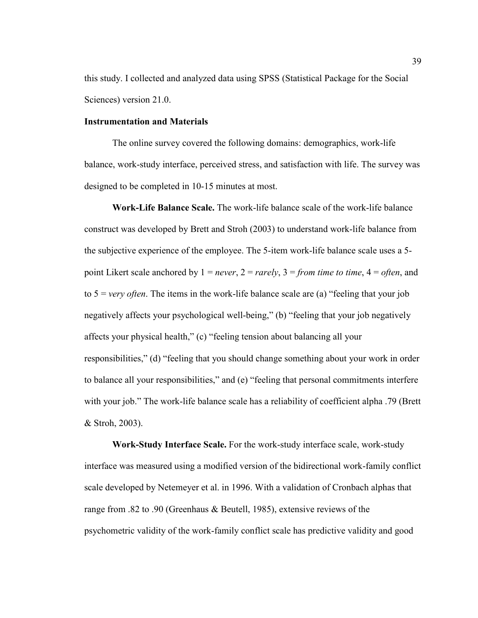this study. I collected and analyzed data using SPSS (Statistical Package for the Social Sciences) version 21.0.

# **Instrumentation and Materials**

The online survey covered the following domains: demographics, work-life balance, work-study interface, perceived stress, and satisfaction with life. The survey was designed to be completed in 10-15 minutes at most.

**Work-Life Balance Scale.** The work-life balance scale of the work-life balance construct was developed by Brett and Stroh (2003) to understand work-life balance from the subjective experience of the employee. The 5-item work-life balance scale uses a 5 point Likert scale anchored by 1 = *never*, 2 = *rarely*, 3 = *from time to time*, 4 = *often*, and to 5 = *very often*. The items in the work-life balance scale are (a) "feeling that your job negatively affects your psychological well-being," (b) "feeling that your job negatively affects your physical health," (c) "feeling tension about balancing all your responsibilities," (d) "feeling that you should change something about your work in order to balance all your responsibilities," and (e) "feeling that personal commitments interfere with your job." The work-life balance scale has a reliability of coefficient alpha .79 (Brett & Stroh, 2003).

**Work-Study Interface Scale.** For the work-study interface scale, work-study interface was measured using a modified version of the bidirectional work-family conflict scale developed by Netemeyer et al. in 1996. With a validation of Cronbach alphas that range from .82 to .90 (Greenhaus & Beutell, 1985), extensive reviews of the psychometric validity of the work-family conflict scale has predictive validity and good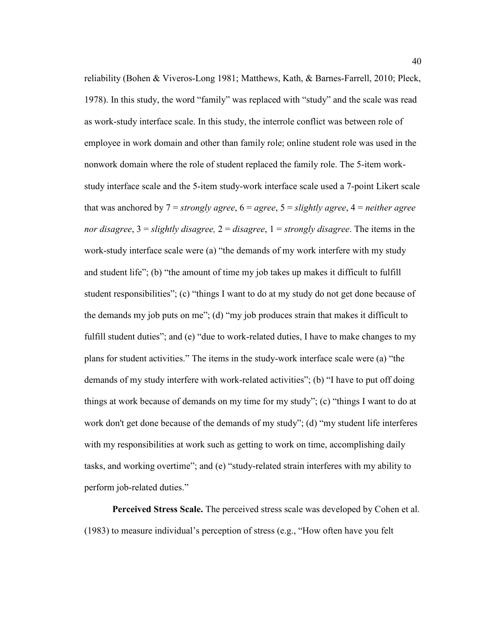reliability (Bohen & Viveros-Long 1981; Matthews, Kath, & Barnes-Farrell, 2010; Pleck, 1978). In this study, the word "family" was replaced with "study" and the scale was read as work-study interface scale. In this study, the interrole conflict was between role of employee in work domain and other than family role; online student role was used in the nonwork domain where the role of student replaced the family role. The 5-item workstudy interface scale and the 5-item study-work interface scale used a 7-point Likert scale that was anchored by 7 = *strongly agree*, 6 = *agree*, 5 = *slightly agree*, 4 = *neither agree nor disagree*, 3 = *slightly disagree,* 2 = *disagree*, 1 = *strongly disagree*. The items in the work-study interface scale were (a) "the demands of my work interfere with my study and student life"; (b) "the amount of time my job takes up makes it difficult to fulfill student responsibilities"; (c) "things I want to do at my study do not get done because of the demands my job puts on me"; (d) "my job produces strain that makes it difficult to fulfill student duties"; and (e) "due to work-related duties, I have to make changes to my plans for student activities." The items in the study-work interface scale were (a) "the demands of my study interfere with work-related activities"; (b) "I have to put off doing things at work because of demands on my time for my study"; (c) "things I want to do at work don't get done because of the demands of my study"; (d) "my student life interferes with my responsibilities at work such as getting to work on time, accomplishing daily tasks, and working overtime"; and (e) "study-related strain interferes with my ability to perform job-related duties."

**Perceived Stress Scale.** The perceived stress scale was developed by Cohen et al. (1983) to measure individual's perception of stress (e.g., "How often have you felt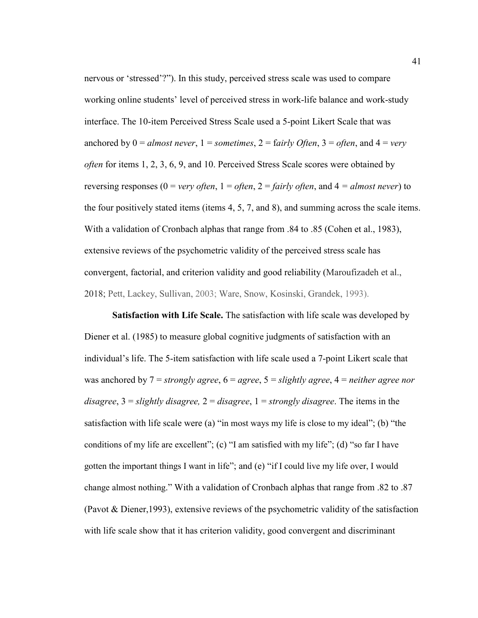nervous or 'stressed'?"). In this study, perceived stress scale was used to compare working online students' level of perceived stress in work-life balance and work-study interface. The 10-item Perceived Stress Scale used a 5-point Likert Scale that was anchored by  $0 =$  *almost never*,  $1 =$  *sometimes*,  $2 =$  *fairly Often*,  $3 =$  *often*, and  $4 =$  *very often* for items 1, 2, 3, 6, 9, and 10. Perceived Stress Scale scores were obtained by reversing responses ( $0 = \text{very often}, 1 = \text{often}, 2 = \text{fairly often},$  and  $4 = \text{almost never}$ ) to the four positively stated items (items 4, 5, 7, and 8), and summing across the scale items. With a validation of Cronbach alphas that range from .84 to .85 (Cohen et al., 1983), extensive reviews of the psychometric validity of the perceived stress scale has convergent, factorial, and criterion validity and good reliability (Maroufizadeh et al., 2018; Pett, Lackey, Sullivan, 2003; Ware, Snow, Kosinski, Grandek, 1993).

**Satisfaction with Life Scale.** The satisfaction with life scale was developed by Diener et al. (1985) to measure global cognitive judgments of satisfaction with an individual's life. The 5-item satisfaction with life scale used a 7-point Likert scale that was anchored by 7 = *strongly agree*, 6 = *agree*, 5 = *slightly agree*, 4 = *neither agree nor disagree*, 3 = *slightly disagree,* 2 = *disagree*, 1 = *strongly disagree*. The items in the satisfaction with life scale were (a) "in most ways my life is close to my ideal"; (b) "the conditions of my life are excellent"; (c) "I am satisfied with my life"; (d) "so far I have gotten the important things I want in life"; and (e) "if I could live my life over, I would change almost nothing." With a validation of Cronbach alphas that range from .82 to .87 (Pavot & Diener,1993), extensive reviews of the psychometric validity of the satisfaction with life scale show that it has criterion validity, good convergent and discriminant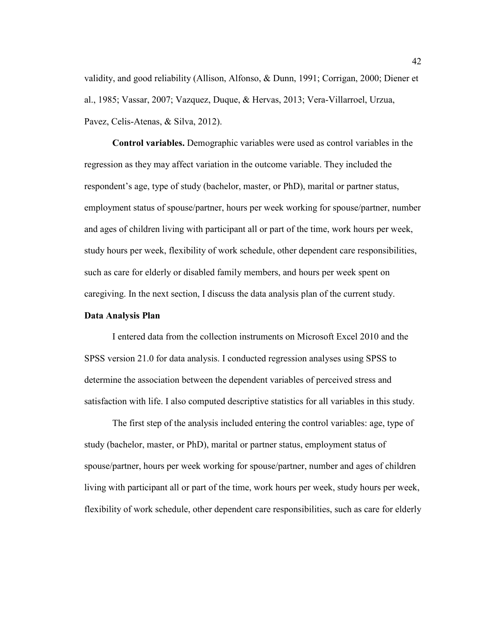validity, and good reliability (Allison, Alfonso, & Dunn, 1991; Corrigan, 2000; Diener et al., 1985; Vassar, 2007; Vazquez, Duque, & Hervas, 2013; Vera-Villarroel, Urzua, Pavez, Celis-Atenas, & Silva, 2012).

**Control variables.** Demographic variables were used as control variables in the regression as they may affect variation in the outcome variable. They included the respondent's age, type of study (bachelor, master, or PhD), marital or partner status, employment status of spouse/partner, hours per week working for spouse/partner, number and ages of children living with participant all or part of the time, work hours per week, study hours per week, flexibility of work schedule, other dependent care responsibilities, such as care for elderly or disabled family members, and hours per week spent on caregiving. In the next section, I discuss the data analysis plan of the current study.

# **Data Analysis Plan**

I entered data from the collection instruments on Microsoft Excel 2010 and the SPSS version 21.0 for data analysis. I conducted regression analyses using SPSS to determine the association between the dependent variables of perceived stress and satisfaction with life. I also computed descriptive statistics for all variables in this study.

The first step of the analysis included entering the control variables: age, type of study (bachelor, master, or PhD), marital or partner status, employment status of spouse/partner, hours per week working for spouse/partner, number and ages of children living with participant all or part of the time, work hours per week, study hours per week, flexibility of work schedule, other dependent care responsibilities, such as care for elderly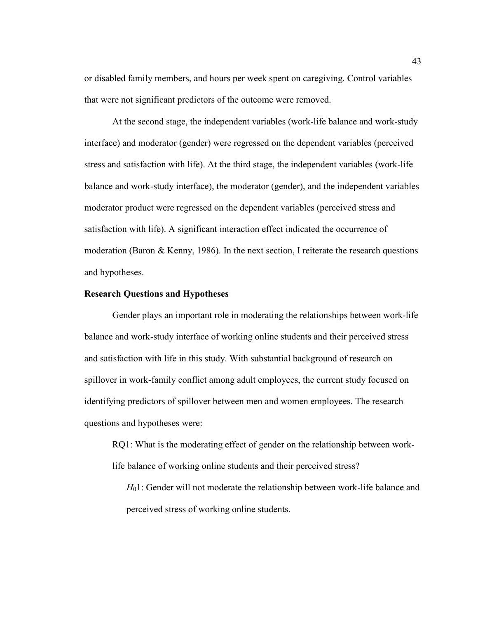or disabled family members, and hours per week spent on caregiving. Control variables that were not significant predictors of the outcome were removed.

At the second stage, the independent variables (work-life balance and work-study interface) and moderator (gender) were regressed on the dependent variables (perceived stress and satisfaction with life). At the third stage, the independent variables (work-life balance and work-study interface), the moderator (gender), and the independent variables moderator product were regressed on the dependent variables (perceived stress and satisfaction with life). A significant interaction effect indicated the occurrence of moderation (Baron  $\&$  Kenny, 1986). In the next section, I reiterate the research questions and hypotheses.

# **Research Questions and Hypotheses**

Gender plays an important role in moderating the relationships between work-life balance and work-study interface of working online students and their perceived stress and satisfaction with life in this study. With substantial background of research on spillover in work-family conflict among adult employees, the current study focused on identifying predictors of spillover between men and women employees. The research questions and hypotheses were:

RQ1: What is the moderating effect of gender on the relationship between worklife balance of working online students and their perceived stress?

*H*01: Gender will not moderate the relationship between work-life balance and perceived stress of working online students.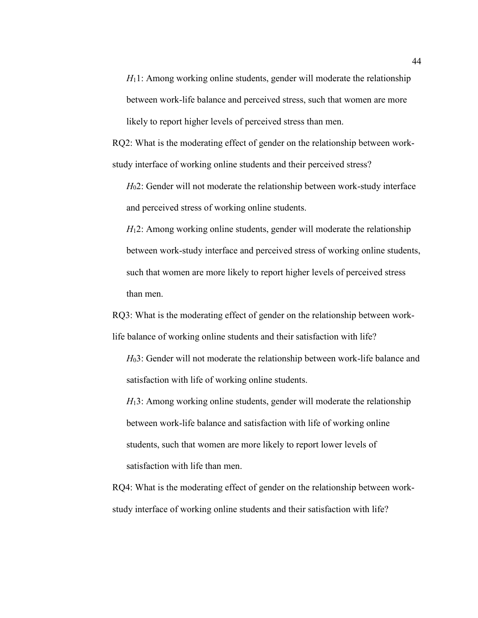*H*<sub>1</sub>1: Among working online students, gender will moderate the relationship between work-life balance and perceived stress, such that women are more likely to report higher levels of perceived stress than men.

RQ2: What is the moderating effect of gender on the relationship between workstudy interface of working online students and their perceived stress?

*H*02: Gender will not moderate the relationship between work-study interface and perceived stress of working online students.

*H*<sub>1</sub>2: Among working online students, gender will moderate the relationship between work-study interface and perceived stress of working online students, such that women are more likely to report higher levels of perceived stress than men.

RQ3: What is the moderating effect of gender on the relationship between worklife balance of working online students and their satisfaction with life?

*H*03: Gender will not moderate the relationship between work-life balance and satisfaction with life of working online students.

*H*<sub>1</sub>3: Among working online students, gender will moderate the relationship between work-life balance and satisfaction with life of working online students, such that women are more likely to report lower levels of satisfaction with life than men.

RQ4: What is the moderating effect of gender on the relationship between workstudy interface of working online students and their satisfaction with life?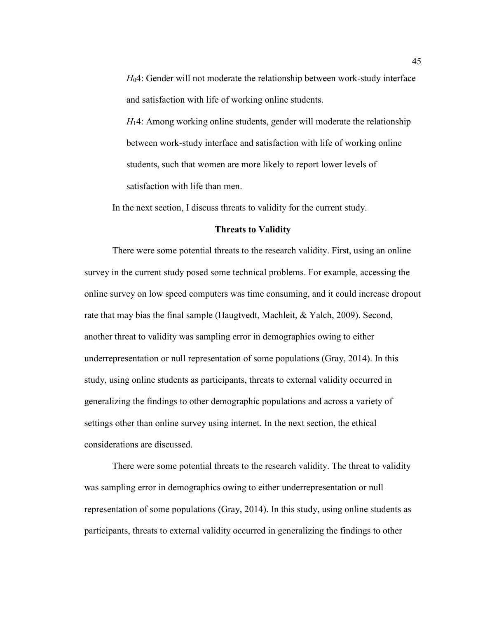*H*04: Gender will not moderate the relationship between work-study interface and satisfaction with life of working online students.

*H*14: Among working online students, gender will moderate the relationship between work-study interface and satisfaction with life of working online students, such that women are more likely to report lower levels of satisfaction with life than men.

In the next section, I discuss threats to validity for the current study.

# **Threats to Validity**

There were some potential threats to the research validity. First, using an online survey in the current study posed some technical problems. For example, accessing the online survey on low speed computers was time consuming, and it could increase dropout rate that may bias the final sample (Haugtvedt, Machleit, & Yalch, 2009). Second, another threat to validity was sampling error in demographics owing to either underrepresentation or null representation of some populations (Gray, 2014). In this study, using online students as participants, threats to external validity occurred in generalizing the findings to other demographic populations and across a variety of settings other than online survey using internet. In the next section, the ethical considerations are discussed.

There were some potential threats to the research validity. The threat to validity was sampling error in demographics owing to either underrepresentation or null representation of some populations (Gray, 2014). In this study, using online students as participants, threats to external validity occurred in generalizing the findings to other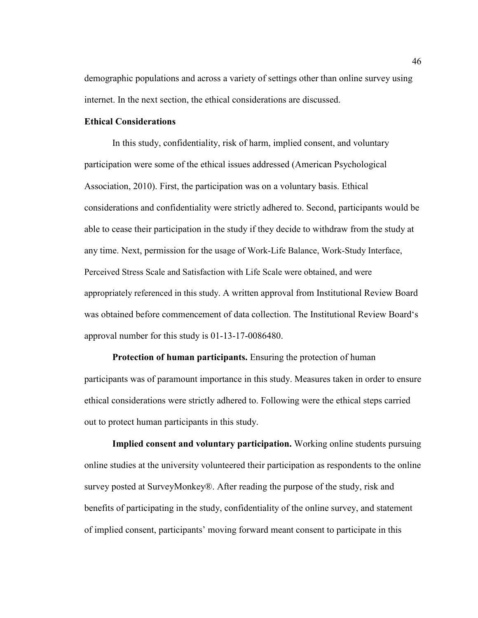demographic populations and across a variety of settings other than online survey using internet. In the next section, the ethical considerations are discussed.

# **Ethical Considerations**

In this study, confidentiality, risk of harm, implied consent, and voluntary participation were some of the ethical issues addressed (American Psychological Association, 2010). First, the participation was on a voluntary basis. Ethical considerations and confidentiality were strictly adhered to. Second, participants would be able to cease their participation in the study if they decide to withdraw from the study at any time. Next, permission for the usage of Work-Life Balance, Work-Study Interface, Perceived Stress Scale and Satisfaction with Life Scale were obtained, and were appropriately referenced in this study. A written approval from Institutional Review Board was obtained before commencement of data collection. The Institutional Review Board's approval number for this study is 01-13-17-0086480.

**Protection of human participants.** Ensuring the protection of human participants was of paramount importance in this study. Measures taken in order to ensure ethical considerations were strictly adhered to. Following were the ethical steps carried out to protect human participants in this study.

**Implied consent and voluntary participation.** Working online students pursuing online studies at the university volunteered their participation as respondents to the online survey posted at SurveyMonkey®. After reading the purpose of the study, risk and benefits of participating in the study, confidentiality of the online survey, and statement of implied consent, participants' moving forward meant consent to participate in this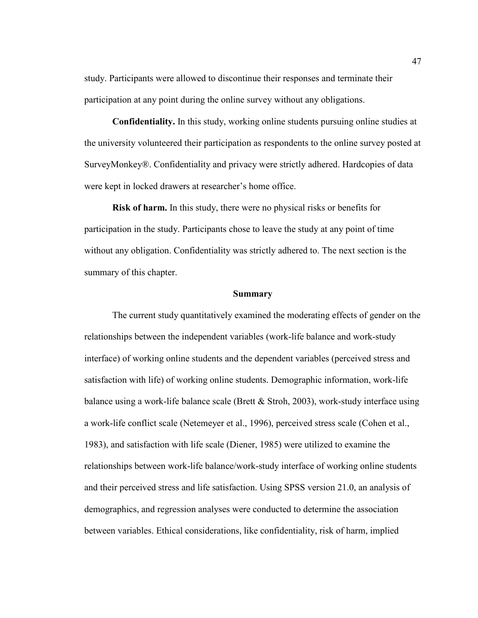study. Participants were allowed to discontinue their responses and terminate their participation at any point during the online survey without any obligations.

**Confidentiality.** In this study, working online students pursuing online studies at the university volunteered their participation as respondents to the online survey posted at SurveyMonkey®. Confidentiality and privacy were strictly adhered. Hardcopies of data were kept in locked drawers at researcher's home office.

**Risk of harm.** In this study, there were no physical risks or benefits for participation in the study. Participants chose to leave the study at any point of time without any obligation. Confidentiality was strictly adhered to. The next section is the summary of this chapter.

#### **Summary**

The current study quantitatively examined the moderating effects of gender on the relationships between the independent variables (work-life balance and work-study interface) of working online students and the dependent variables (perceived stress and satisfaction with life) of working online students. Demographic information, work-life balance using a work-life balance scale (Brett & Stroh, 2003), work-study interface using a work-life conflict scale (Netemeyer et al., 1996), perceived stress scale (Cohen et al., 1983), and satisfaction with life scale (Diener, 1985) were utilized to examine the relationships between work-life balance/work-study interface of working online students and their perceived stress and life satisfaction. Using SPSS version 21.0, an analysis of demographics, and regression analyses were conducted to determine the association between variables. Ethical considerations, like confidentiality, risk of harm, implied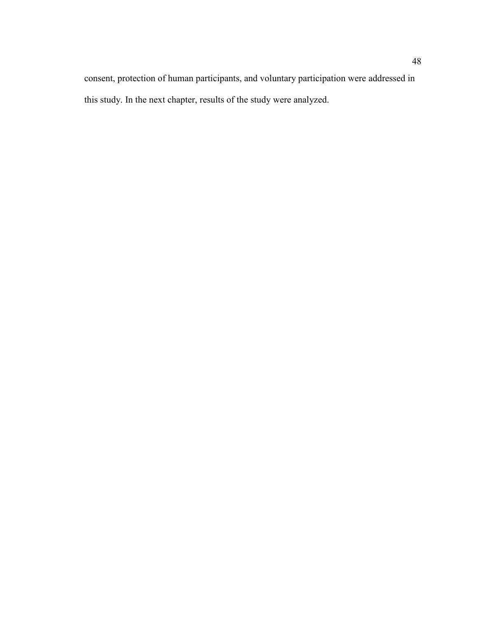consent, protection of human participants, and voluntary participation were addressed in this study. In the next chapter, results of the study were analyzed.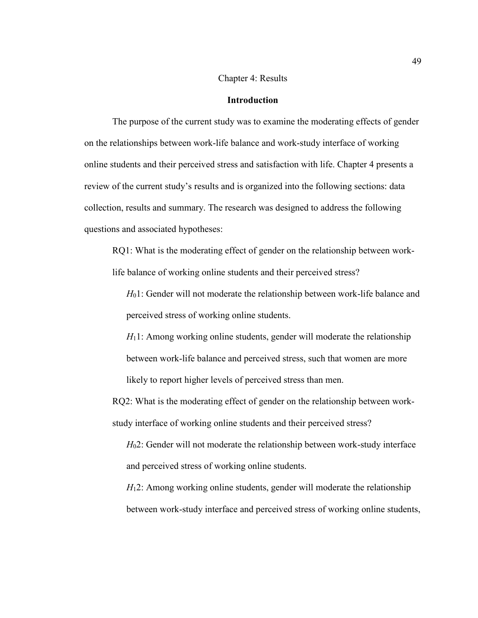# Chapter 4: Results

# **Introduction**

The purpose of the current study was to examine the moderating effects of gender on the relationships between work-life balance and work-study interface of working online students and their perceived stress and satisfaction with life. Chapter 4 presents a review of the current study's results and is organized into the following sections: data collection, results and summary. The research was designed to address the following questions and associated hypotheses:

RQ1: What is the moderating effect of gender on the relationship between worklife balance of working online students and their perceived stress?

*H*<sub>0</sub>1: Gender will not moderate the relationship between work-life balance and perceived stress of working online students.

*H*<sub>1</sub>1: Among working online students, gender will moderate the relationship between work-life balance and perceived stress, such that women are more likely to report higher levels of perceived stress than men.

RQ2: What is the moderating effect of gender on the relationship between workstudy interface of working online students and their perceived stress?

*H*02: Gender will not moderate the relationship between work-study interface and perceived stress of working online students.

*H*<sub>1</sub>2: Among working online students, gender will moderate the relationship between work-study interface and perceived stress of working online students,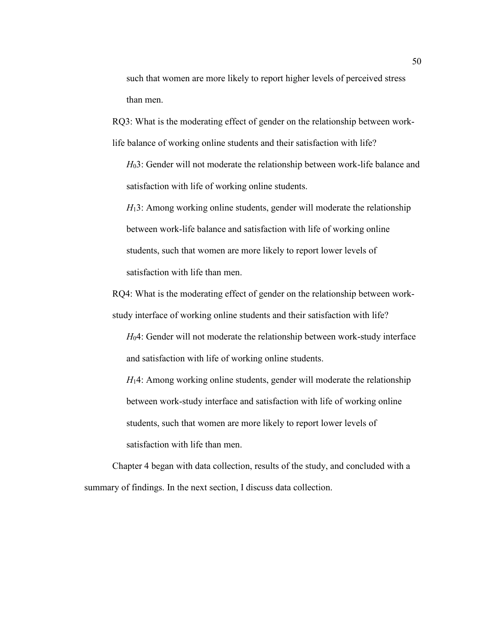such that women are more likely to report higher levels of perceived stress than men.

RQ3: What is the moderating effect of gender on the relationship between worklife balance of working online students and their satisfaction with life?

*H*03: Gender will not moderate the relationship between work-life balance and satisfaction with life of working online students.

*H*<sub>1</sub>3: Among working online students, gender will moderate the relationship between work-life balance and satisfaction with life of working online students, such that women are more likely to report lower levels of satisfaction with life than men

RQ4: What is the moderating effect of gender on the relationship between workstudy interface of working online students and their satisfaction with life?

*H*04: Gender will not moderate the relationship between work-study interface and satisfaction with life of working online students.

*H*<sub>1</sub>4: Among working online students, gender will moderate the relationship between work-study interface and satisfaction with life of working online students, such that women are more likely to report lower levels of satisfaction with life than men.

Chapter 4 began with data collection, results of the study, and concluded with a summary of findings. In the next section, I discuss data collection.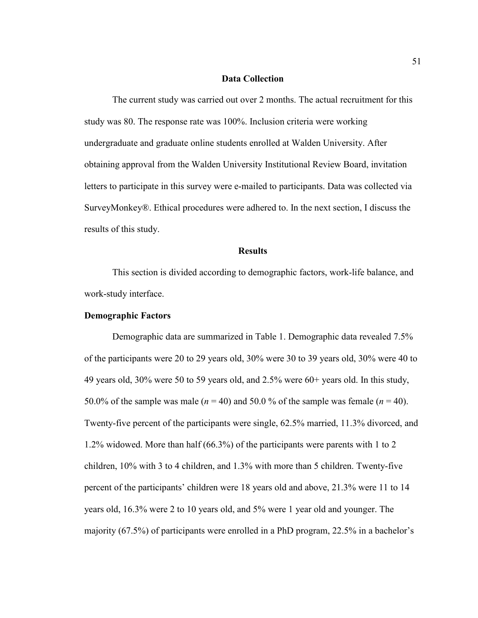#### **Data Collection**

The current study was carried out over 2 months. The actual recruitment for this study was 80. The response rate was 100%. Inclusion criteria were working undergraduate and graduate online students enrolled at Walden University. After obtaining approval from the Walden University Institutional Review Board, invitation letters to participate in this survey were e-mailed to participants. Data was collected via SurveyMonkey®. Ethical procedures were adhered to. In the next section, I discuss the results of this study.

#### **Results**

This section is divided according to demographic factors, work-life balance, and work-study interface.

# **Demographic Factors**

Demographic data are summarized in Table 1. Demographic data revealed 7.5% of the participants were 20 to 29 years old, 30% were 30 to 39 years old, 30% were 40 to 49 years old, 30% were 50 to 59 years old, and 2.5% were 60+ years old. In this study, 50.0% of the sample was male  $(n = 40)$  and 50.0% of the sample was female  $(n = 40)$ . Twenty-five percent of the participants were single, 62.5% married, 11.3% divorced, and 1.2% widowed. More than half (66.3%) of the participants were parents with 1 to 2 children, 10% with 3 to 4 children, and 1.3% with more than 5 children. Twenty-five percent of the participants' children were 18 years old and above, 21.3% were 11 to 14 years old, 16.3% were 2 to 10 years old, and 5% were 1 year old and younger. The majority (67.5%) of participants were enrolled in a PhD program, 22.5% in a bachelor's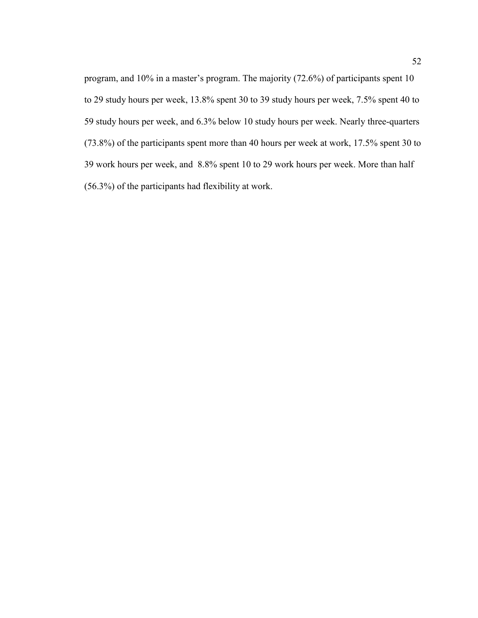program, and 10% in a master's program. The majority (72.6%) of participants spent 10 to 29 study hours per week, 13.8% spent 30 to 39 study hours per week, 7.5% spent 40 to 59 study hours per week, and 6.3% below 10 study hours per week. Nearly three-quarters (73.8%) of the participants spent more than 40 hours per week at work, 17.5% spent 30 to 39 work hours per week, and 8.8% spent 10 to 29 work hours per week. More than half (56.3%) of the participants had flexibility at work.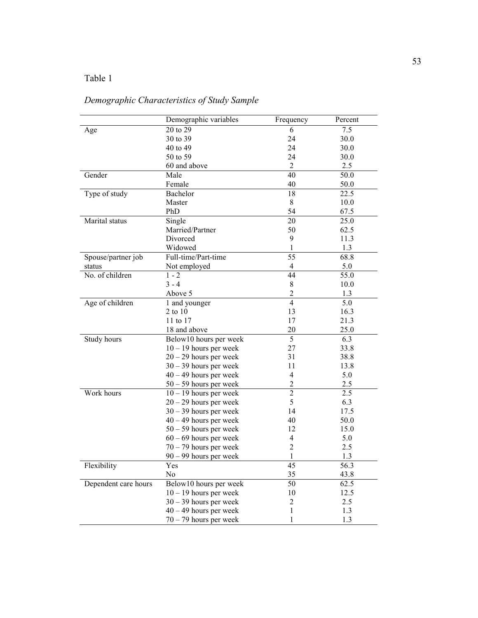# Table 1

# *Demographic Characteristics of Study Sample*

|                      | Demographic variables               | Frequency               | Percent |
|----------------------|-------------------------------------|-------------------------|---------|
| Age                  | 20 to 29                            | 6                       | 7.5     |
|                      | 30 to 39                            | 24                      | 30.0    |
|                      | 40 to 49                            | 24                      | 30.0    |
|                      | 50 to 59                            | 24                      | 30.0    |
|                      | 60 and above                        | $\overline{2}$          | 2.5     |
| Gender               | Male                                | 40                      | 50.0    |
|                      | Female                              | 40                      | 50.0    |
| Type of study        | Bachelor                            | 18                      | 22.5    |
|                      | Master                              | 8                       | 10.0    |
|                      | PhD                                 | 54                      | 67.5    |
| Marital status       | Single                              | 20                      | 25.0    |
|                      | Married/Partner                     | 50                      | 62.5    |
|                      | Divorced                            | 9                       | 11.3    |
|                      | Widowed                             | 1                       | 1.3     |
| Spouse/partner job   | Full-time/Part-time                 | 55                      | 68.8    |
| status               | Not employed                        | 4                       | 5.0     |
| No. of children      | $1 - 2$                             | 44                      | 55.0    |
|                      | $3 - 4$                             | 8                       | 10.0    |
|                      | Above 5                             | $\overline{2}$          | 1.3     |
| Age of children      | 1 and younger                       | $\overline{4}$          | 5.0     |
|                      | 2 to 10                             | 13                      | 16.3    |
|                      | 11 to 17                            | 17                      | 21.3    |
|                      | 18 and above                        | 20                      | 25.0    |
| Study hours          | Below10 hours per week              | 5                       | 6.3     |
|                      | $10 - 19$ hours per week            | 27                      | 33.8    |
|                      | $20 - 29$ hours per week            | 31                      | 38.8    |
|                      | $30 - 39$ hours per week            | 11                      | 13.8    |
|                      | $40 - 49$ hours per week            | $\overline{4}$          | 5.0     |
|                      | $50 - 59$ hours per week            | $\overline{\mathbf{c}}$ | 2.5     |
| Work hours           | $\overline{10}$ – 19 hours per week | $\overline{2}$          | 2.5     |
|                      | $20 - 29$ hours per week            | 5                       | 6.3     |
|                      | $30 - 39$ hours per week            | 14                      | 17.5    |
|                      | $40 - 49$ hours per week            | 40                      | 50.0    |
|                      |                                     | 12                      | 15.0    |
|                      | $50 - 59$ hours per week            | 4                       | 5.0     |
|                      | $60 - 69$ hours per week            | $\overline{c}$          | 2.5     |
|                      | $70 - 79$ hours per week            | 1                       |         |
|                      | $90 - 99$ hours per week            |                         | 1.3     |
| Flexibility          | Yes                                 | 45                      | 56.3    |
|                      | No                                  | 35                      | 43.8    |
| Dependent care hours | Below10 hours per week              | 50                      | 62.5    |
|                      | $10 - 19$ hours per week            | 10                      | 12.5    |
|                      | $30 - 39$ hours per week            | $\overline{c}$          | 2.5     |
|                      | $40 - 49$ hours per week            | $\mathbf{1}$            | 1.3     |
|                      | $70 - 79$ hours per week            | 1                       | 1.3     |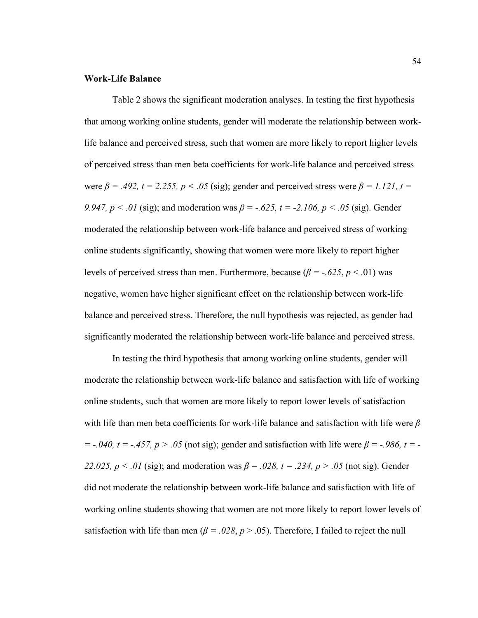### **Work-Life Balance**

Table 2 shows the significant moderation analyses. In testing the first hypothesis that among working online students, gender will moderate the relationship between worklife balance and perceived stress, such that women are more likely to report higher levels of perceived stress than men beta coefficients for work-life balance and perceived stress were  $β = .492$ ,  $t = 2.255$ ,  $p < .05$  (sig); gender and perceived stress were  $β = 1.121$ ,  $t =$ *9.947, p* < .01 (sig); and moderation was  $\beta$  = -.625, t = -2.106, p < .05 (sig). Gender moderated the relationship between work-life balance and perceived stress of working online students significantly, showing that women were more likely to report higher levels of perceived stress than men. Furthermore, because ( $\beta = -.625, p < .01$ ) was negative, women have higher significant effect on the relationship between work-life balance and perceived stress. Therefore, the null hypothesis was rejected, as gender had significantly moderated the relationship between work-life balance and perceived stress.

In testing the third hypothesis that among working online students, gender will moderate the relationship between work-life balance and satisfaction with life of working online students, such that women are more likely to report lower levels of satisfaction with life than men beta coefficients for work-life balance and satisfaction with life were *β*   $= -0.040$ ,  $t = -0.457$ ,  $p > 0.05$  (not sig); gender and satisfaction with life were  $\beta = -0.986$ ,  $t = -1.040$ . *22.025, p* < .01 (sig); and moderation was  $\beta$  = .028, t = .234, p > .05 (not sig). Gender did not moderate the relationship between work-life balance and satisfaction with life of working online students showing that women are not more likely to report lower levels of satisfaction with life than men ( $\beta = .028$ ,  $p > .05$ ). Therefore, I failed to reject the null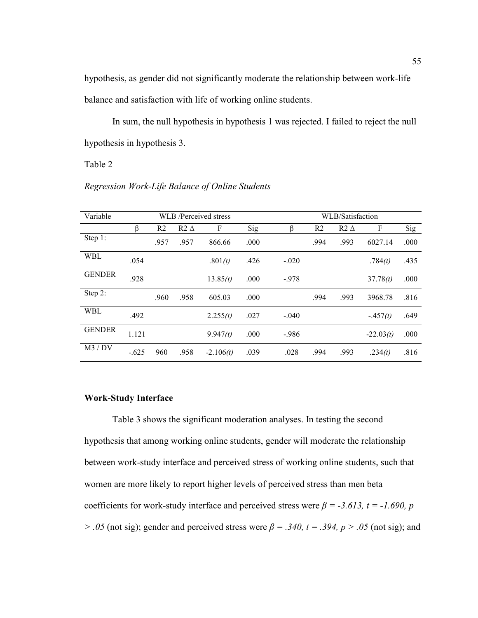hypothesis, as gender did not significantly moderate the relationship between work-life balance and satisfaction with life of working online students.

In sum, the null hypothesis in hypothesis 1 was rejected. I failed to reject the null hypothesis in hypothesis 3.

Table 2

|  | Regression Work-Life Balance of Online Students |
|--|-------------------------------------------------|
|  |                                                 |

| Variable      | WLB /Perceived stress |                |             |             |      | WLB/Satisfaction |                |             |             |      |
|---------------|-----------------------|----------------|-------------|-------------|------|------------------|----------------|-------------|-------------|------|
|               | ß                     | R <sub>2</sub> | $R2 \Delta$ | F           | Sig  | ß                | R <sub>2</sub> | $R2 \Delta$ | F           | Sig  |
| Step 1:       |                       | .957           | .957        | 866.66      | .000 |                  | .994           | .993        | 6027.14     | .000 |
| <b>WBL</b>    | .054                  |                |             | .801(t)     | .426 | $-.020$          |                |             | .784(t)     | .435 |
| <b>GENDER</b> | .928                  |                |             | 13.85(t)    | .000 | $-978$           |                |             | 37.78(t)    | .000 |
| Step 2:       |                       | .960           | .958        | 605.03      | .000 |                  | .994           | .993        | 3968.78     | .816 |
| <b>WBL</b>    | .492                  |                |             | 2.255(t)    | .027 | $-.040$          |                |             | $-457(t)$   | .649 |
| <b>GENDER</b> | 1.121                 |                |             | 9.947(t)    | .000 | $-986$           |                |             | $-22.03(t)$ | .000 |
| M3 / DV       | $-.625$               | 960            | .958        | $-2.106(t)$ | .039 | .028             | .994           | .993        | .234(t)     | .816 |

# **Work-Study Interface**

Table 3 shows the significant moderation analyses. In testing the second hypothesis that among working online students, gender will moderate the relationship between work-study interface and perceived stress of working online students, such that women are more likely to report higher levels of perceived stress than men beta coefficients for work-study interface and perceived stress were  $\beta$  = -3.613, t = -1.690, p  $> .05$  (not sig); gender and perceived stress were  $\beta = .340$ ,  $t = .394$ ,  $p > .05$  (not sig); and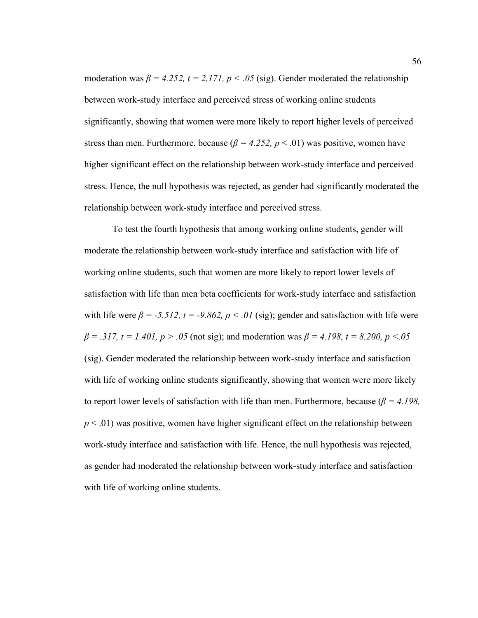moderation was  $\beta = 4.252$ ,  $t = 2.171$ ,  $p < .05$  (sig). Gender moderated the relationship between work-study interface and perceived stress of working online students significantly, showing that women were more likely to report higher levels of perceived stress than men. Furthermore, because ( $\beta = 4.252$ ,  $p < .01$ ) was positive, women have higher significant effect on the relationship between work-study interface and perceived stress. Hence, the null hypothesis was rejected, as gender had significantly moderated the relationship between work-study interface and perceived stress.

To test the fourth hypothesis that among working online students, gender will moderate the relationship between work-study interface and satisfaction with life of working online students, such that women are more likely to report lower levels of satisfaction with life than men beta coefficients for work-study interface and satisfaction with life were  $\beta = -5.512$ ,  $t = -9.862$ ,  $p < .01$  (sig); gender and satisfaction with life were  $\beta = .317$ ,  $t = 1.401$ ,  $p > .05$  (not sig); and moderation was  $\beta = 4.198$ ,  $t = 8.200$ ,  $p < .05$ (sig). Gender moderated the relationship between work-study interface and satisfaction with life of working online students significantly, showing that women were more likely to report lower levels of satisfaction with life than men. Furthermore, because (*β = 4.198,*   $p < .01$ ) was positive, women have higher significant effect on the relationship between work-study interface and satisfaction with life. Hence, the null hypothesis was rejected, as gender had moderated the relationship between work-study interface and satisfaction with life of working online students.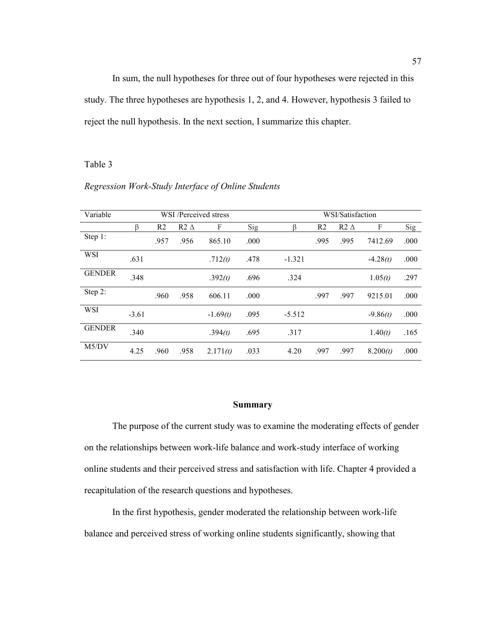In sum, the null hypotheses for three out of four hypotheses were rejected in this study. The three hypotheses are hypothesis 1, 2, and 4. However, hypothesis 3 failed to reject the null hypothesis. In the next section, I summarize this chapter.

#### Table 3

٦

| Variable      | WSI /Perceived stress |                |             |            |      | WSI/Satisfaction |                |             |            |      |
|---------------|-----------------------|----------------|-------------|------------|------|------------------|----------------|-------------|------------|------|
|               | ß                     | R <sub>2</sub> | $R2 \Delta$ | F          | Sig  | β                | R <sub>2</sub> | $R2 \Delta$ | F          | Sig  |
| Step 1:       |                       | .957           | .956        | 865.10     | .000 |                  | .995           | .995        | 7412.69    | .000 |
| WSI           | .631                  |                |             | .712(t)    | .478 | $-1.321$         |                |             | $-4.28(t)$ | .000 |
| <b>GENDER</b> | .348                  |                |             | .392(t)    | .696 | .324             |                |             | 1.05(t)    | .297 |
| Step 2:       |                       | .960           | .958        | 606.11     | .000 |                  | .997           | .997        | 9215.01    | .000 |
| WSI           | $-3.61$               |                |             | $-1.69(t)$ | .095 | $-5.512$         |                |             | $-9.86(t)$ | .000 |
| <b>GENDER</b> | .340                  |                |             | .394(t)    | .695 | .317             |                |             | 1.40(t)    | .165 |
| M5/DV         | 4.25                  | .960           | .958        | 2.171(t)   | .033 | 4.20             | .997           | .997        | 8.200(t)   | .000 |

# *Regression Work-Study Interface of Online Students*

#### **Summary**

The purpose of the current study was to examine the moderating effects of gender on the relationships between work-life balance and work-study interface of working online students and their perceived stress and satisfaction with life. Chapter 4 provided a recapitulation of the research questions and hypotheses.

In the first hypothesis, gender moderated the relationship between work-life balance and perceived stress of working online students significantly, showing that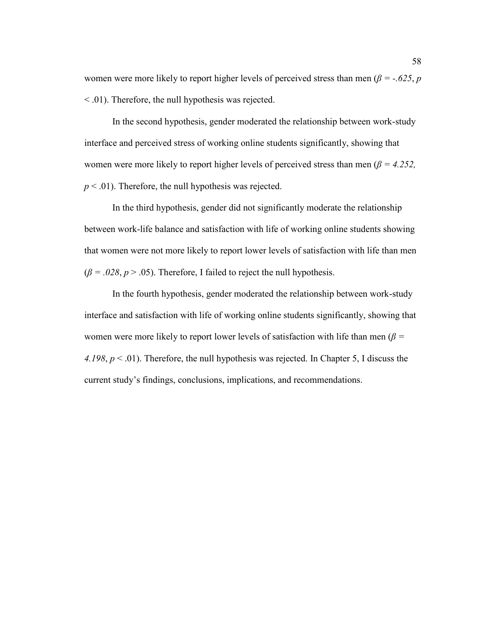women were more likely to report higher levels of perceived stress than men ( $\beta = -.625$ , *p* < .01). Therefore, the null hypothesis was rejected.

In the second hypothesis, gender moderated the relationship between work-study interface and perceived stress of working online students significantly, showing that women were more likely to report higher levels of perceived stress than men (*β = 4.252,*   $p < .01$ ). Therefore, the null hypothesis was rejected.

In the third hypothesis, gender did not significantly moderate the relationship between work-life balance and satisfaction with life of working online students showing that women were not more likely to report lower levels of satisfaction with life than men  $(\beta = .028, p > .05)$ . Therefore, I failed to reject the null hypothesis.

In the fourth hypothesis, gender moderated the relationship between work-study interface and satisfaction with life of working online students significantly, showing that women were more likely to report lower levels of satisfaction with life than men (*β = 4.198*, *p* < .01). Therefore, the null hypothesis was rejected. In Chapter 5, I discuss the current study's findings, conclusions, implications, and recommendations.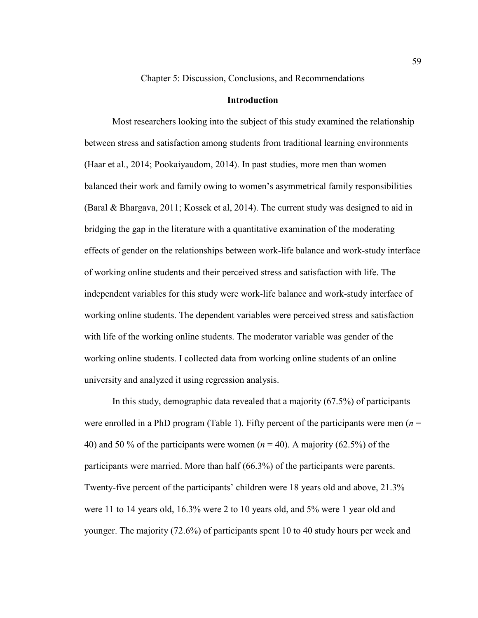Chapter 5: Discussion, Conclusions, and Recommendations

# **Introduction**

Most researchers looking into the subject of this study examined the relationship between stress and satisfaction among students from traditional learning environments (Haar et al., 2014; Pookaiyaudom, 2014). In past studies, more men than women balanced their work and family owing to women's asymmetrical family responsibilities (Baral & Bhargava, 2011; Kossek et al, 2014). The current study was designed to aid in bridging the gap in the literature with a quantitative examination of the moderating effects of gender on the relationships between work-life balance and work-study interface of working online students and their perceived stress and satisfaction with life. The independent variables for this study were work-life balance and work-study interface of working online students. The dependent variables were perceived stress and satisfaction with life of the working online students. The moderator variable was gender of the working online students. I collected data from working online students of an online university and analyzed it using regression analysis.

In this study, demographic data revealed that a majority (67.5%) of participants were enrolled in a PhD program (Table 1). Fifty percent of the participants were men  $(n =$ 40) and 50 % of the participants were women (*n* = 40). A majority (62.5%) of the participants were married. More than half (66.3%) of the participants were parents. Twenty-five percent of the participants' children were 18 years old and above, 21.3% were 11 to 14 years old, 16.3% were 2 to 10 years old, and 5% were 1 year old and younger. The majority (72.6%) of participants spent 10 to 40 study hours per week and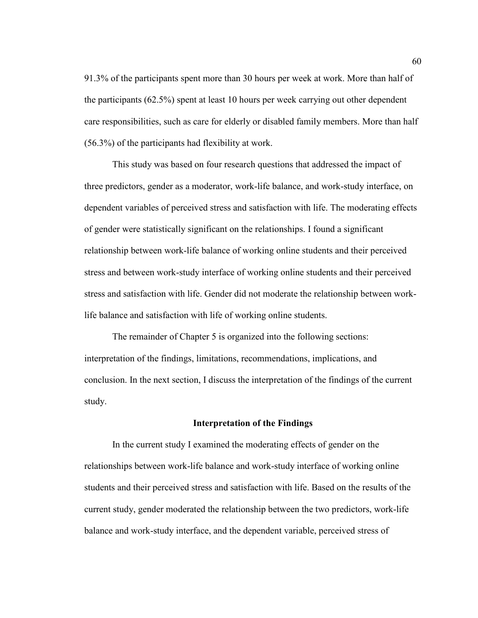91.3% of the participants spent more than 30 hours per week at work. More than half of the participants (62.5%) spent at least 10 hours per week carrying out other dependent care responsibilities, such as care for elderly or disabled family members. More than half (56.3%) of the participants had flexibility at work.

This study was based on four research questions that addressed the impact of three predictors, gender as a moderator, work-life balance, and work-study interface, on dependent variables of perceived stress and satisfaction with life. The moderating effects of gender were statistically significant on the relationships. I found a significant relationship between work-life balance of working online students and their perceived stress and between work-study interface of working online students and their perceived stress and satisfaction with life. Gender did not moderate the relationship between worklife balance and satisfaction with life of working online students.

The remainder of Chapter 5 is organized into the following sections: interpretation of the findings, limitations, recommendations, implications, and conclusion. In the next section, I discuss the interpretation of the findings of the current study.

# **Interpretation of the Findings**

In the current study I examined the moderating effects of gender on the relationships between work-life balance and work-study interface of working online students and their perceived stress and satisfaction with life. Based on the results of the current study, gender moderated the relationship between the two predictors, work-life balance and work-study interface, and the dependent variable, perceived stress of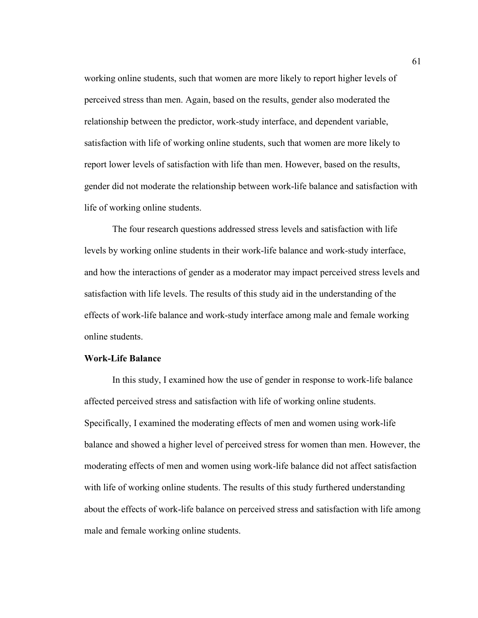working online students, such that women are more likely to report higher levels of perceived stress than men. Again, based on the results, gender also moderated the relationship between the predictor, work-study interface, and dependent variable, satisfaction with life of working online students, such that women are more likely to report lower levels of satisfaction with life than men. However, based on the results, gender did not moderate the relationship between work-life balance and satisfaction with life of working online students.

The four research questions addressed stress levels and satisfaction with life levels by working online students in their work-life balance and work-study interface, and how the interactions of gender as a moderator may impact perceived stress levels and satisfaction with life levels. The results of this study aid in the understanding of the effects of work-life balance and work-study interface among male and female working online students.

# **Work-Life Balance**

In this study, I examined how the use of gender in response to work-life balance affected perceived stress and satisfaction with life of working online students. Specifically, I examined the moderating effects of men and women using work-life balance and showed a higher level of perceived stress for women than men. However, the moderating effects of men and women using work-life balance did not affect satisfaction with life of working online students. The results of this study furthered understanding about the effects of work-life balance on perceived stress and satisfaction with life among male and female working online students.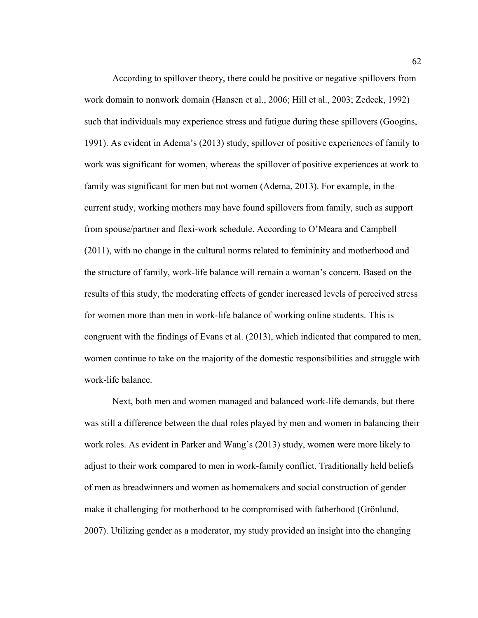According to spillover theory, there could be positive or negative spillovers from work domain to nonwork domain (Hansen et al., 2006; Hill et al., 2003; Zedeck, 1992) such that individuals may experience stress and fatigue during these spillovers (Googins, 1991). As evident in Adema's (2013) study, spillover of positive experiences of family to work was significant for women, whereas the spillover of positive experiences at work to family was significant for men but not women (Adema, 2013). For example, in the current study, working mothers may have found spillovers from family, such as support from spouse/partner and flexi-work schedule. According to O'Meara and Campbell (2011), with no change in the cultural norms related to femininity and motherhood and the structure of family, work-life balance will remain a woman's concern. Based on the results of this study, the moderating effects of gender increased levels of perceived stress for women more than men in work-life balance of working online students. This is congruent with the findings of Evans et al. (2013), which indicated that compared to men, women continue to take on the majority of the domestic responsibilities and struggle with work-life balance.

Next, both men and women managed and balanced work-life demands, but there was still a difference between the dual roles played by men and women in balancing their work roles. As evident in Parker and Wang's (2013) study, women were more likely to adjust to their work compared to men in work-family conflict. Traditionally held beliefs of men as breadwinners and women as homemakers and social construction of gender make it challenging for motherhood to be compromised with fatherhood (Grönlund, 2007). Utilizing gender as a moderator, my study provided an insight into the changing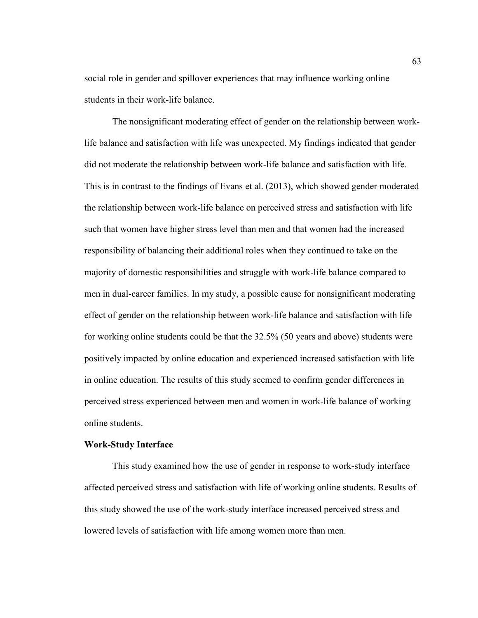social role in gender and spillover experiences that may influence working online students in their work-life balance.

The nonsignificant moderating effect of gender on the relationship between worklife balance and satisfaction with life was unexpected. My findings indicated that gender did not moderate the relationship between work-life balance and satisfaction with life. This is in contrast to the findings of Evans et al. (2013), which showed gender moderated the relationship between work-life balance on perceived stress and satisfaction with life such that women have higher stress level than men and that women had the increased responsibility of balancing their additional roles when they continued to take on the majority of domestic responsibilities and struggle with work-life balance compared to men in dual-career families. In my study, a possible cause for nonsignificant moderating effect of gender on the relationship between work-life balance and satisfaction with life for working online students could be that the 32.5% (50 years and above) students were positively impacted by online education and experienced increased satisfaction with life in online education. The results of this study seemed to confirm gender differences in perceived stress experienced between men and women in work-life balance of working online students.

# **Work-Study Interface**

This study examined how the use of gender in response to work-study interface affected perceived stress and satisfaction with life of working online students. Results of this study showed the use of the work-study interface increased perceived stress and lowered levels of satisfaction with life among women more than men.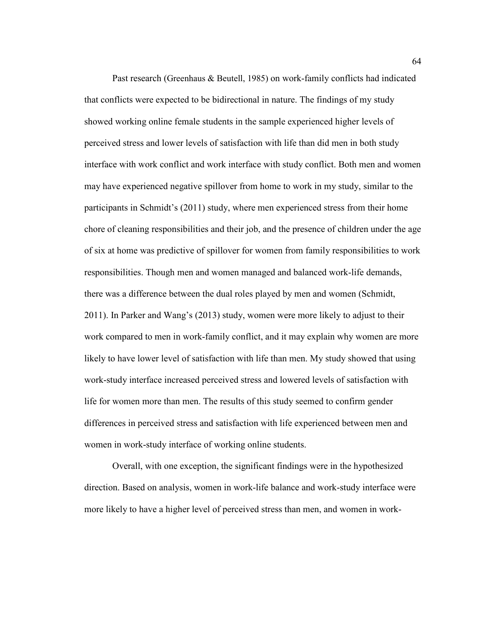Past research (Greenhaus & Beutell, 1985) on work-family conflicts had indicated that conflicts were expected to be bidirectional in nature. The findings of my study showed working online female students in the sample experienced higher levels of perceived stress and lower levels of satisfaction with life than did men in both study interface with work conflict and work interface with study conflict. Both men and women may have experienced negative spillover from home to work in my study, similar to the participants in Schmidt's (2011) study, where men experienced stress from their home chore of cleaning responsibilities and their job, and the presence of children under the age of six at home was predictive of spillover for women from family responsibilities to work responsibilities. Though men and women managed and balanced work-life demands, there was a difference between the dual roles played by men and women (Schmidt, 2011). In Parker and Wang's (2013) study, women were more likely to adjust to their work compared to men in work-family conflict, and it may explain why women are more likely to have lower level of satisfaction with life than men. My study showed that using work-study interface increased perceived stress and lowered levels of satisfaction with life for women more than men. The results of this study seemed to confirm gender differences in perceived stress and satisfaction with life experienced between men and women in work-study interface of working online students.

Overall, with one exception, the significant findings were in the hypothesized direction. Based on analysis, women in work-life balance and work-study interface were more likely to have a higher level of perceived stress than men, and women in work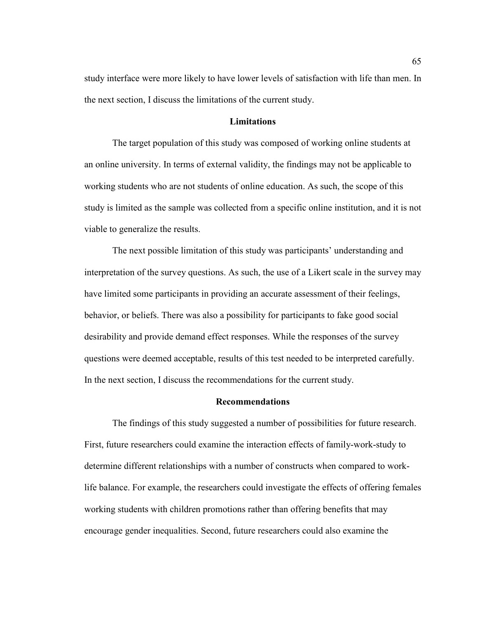study interface were more likely to have lower levels of satisfaction with life than men. In the next section, I discuss the limitations of the current study.

# **Limitations**

The target population of this study was composed of working online students at an online university. In terms of external validity, the findings may not be applicable to working students who are not students of online education. As such, the scope of this study is limited as the sample was collected from a specific online institution, and it is not viable to generalize the results.

The next possible limitation of this study was participants' understanding and interpretation of the survey questions. As such, the use of a Likert scale in the survey may have limited some participants in providing an accurate assessment of their feelings, behavior, or beliefs. There was also a possibility for participants to fake good social desirability and provide demand effect responses. While the responses of the survey questions were deemed acceptable, results of this test needed to be interpreted carefully. In the next section, I discuss the recommendations for the current study.

### **Recommendations**

The findings of this study suggested a number of possibilities for future research. First, future researchers could examine the interaction effects of family-work-study to determine different relationships with a number of constructs when compared to worklife balance. For example, the researchers could investigate the effects of offering females working students with children promotions rather than offering benefits that may encourage gender inequalities. Second, future researchers could also examine the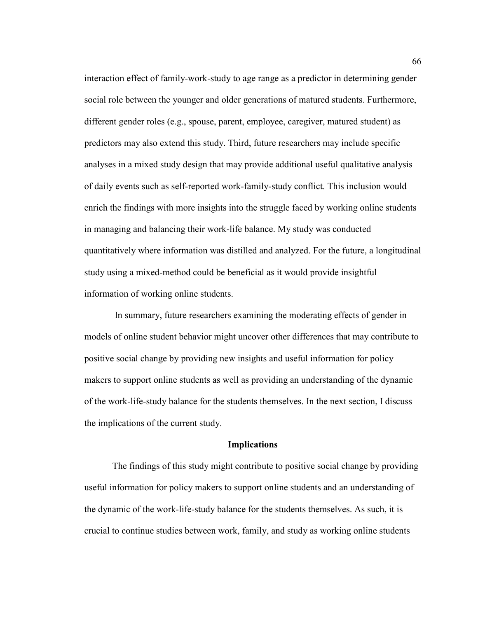interaction effect of family-work-study to age range as a predictor in determining gender social role between the younger and older generations of matured students. Furthermore, different gender roles (e.g., spouse, parent, employee, caregiver, matured student) as predictors may also extend this study. Third, future researchers may include specific analyses in a mixed study design that may provide additional useful qualitative analysis of daily events such as self-reported work-family-study conflict. This inclusion would enrich the findings with more insights into the struggle faced by working online students in managing and balancing their work-life balance. My study was conducted quantitatively where information was distilled and analyzed. For the future, a longitudinal study using a mixed-method could be beneficial as it would provide insightful information of working online students.

 In summary, future researchers examining the moderating effects of gender in models of online student behavior might uncover other differences that may contribute to positive social change by providing new insights and useful information for policy makers to support online students as well as providing an understanding of the dynamic of the work-life-study balance for the students themselves. In the next section, I discuss the implications of the current study.

## **Implications**

The findings of this study might contribute to positive social change by providing useful information for policy makers to support online students and an understanding of the dynamic of the work-life-study balance for the students themselves. As such, it is crucial to continue studies between work, family, and study as working online students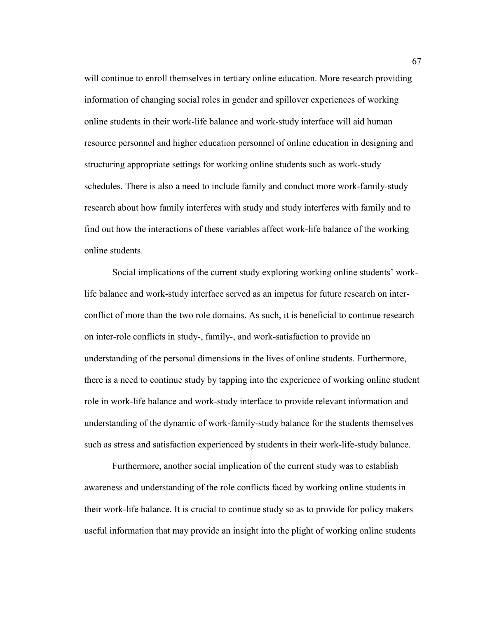will continue to enroll themselves in tertiary online education. More research providing information of changing social roles in gender and spillover experiences of working online students in their work-life balance and work-study interface will aid human resource personnel and higher education personnel of online education in designing and structuring appropriate settings for working online students such as work-study schedules. There is also a need to include family and conduct more work-family-study research about how family interferes with study and study interferes with family and to find out how the interactions of these variables affect work-life balance of the working online students.

Social implications of the current study exploring working online students' worklife balance and work-study interface served as an impetus for future research on interconflict of more than the two role domains. As such, it is beneficial to continue research on inter-role conflicts in study-, family-, and work-satisfaction to provide an understanding of the personal dimensions in the lives of online students. Furthermore, there is a need to continue study by tapping into the experience of working online student role in work-life balance and work-study interface to provide relevant information and understanding of the dynamic of work-family-study balance for the students themselves such as stress and satisfaction experienced by students in their work-life-study balance.

Furthermore, another social implication of the current study was to establish awareness and understanding of the role conflicts faced by working online students in their work-life balance. It is crucial to continue study so as to provide for policy makers useful information that may provide an insight into the plight of working online students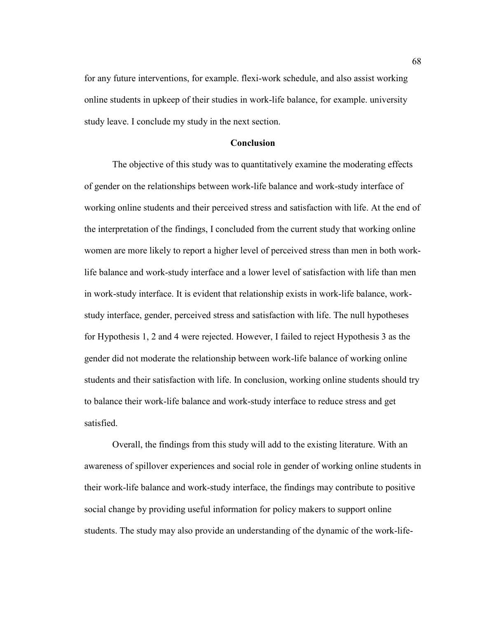for any future interventions, for example. flexi-work schedule, and also assist working online students in upkeep of their studies in work-life balance, for example. university study leave. I conclude my study in the next section.

# **Conclusion**

The objective of this study was to quantitatively examine the moderating effects of gender on the relationships between work-life balance and work-study interface of working online students and their perceived stress and satisfaction with life. At the end of the interpretation of the findings, I concluded from the current study that working online women are more likely to report a higher level of perceived stress than men in both worklife balance and work-study interface and a lower level of satisfaction with life than men in work-study interface. It is evident that relationship exists in work-life balance, workstudy interface, gender, perceived stress and satisfaction with life. The null hypotheses for Hypothesis 1, 2 and 4 were rejected. However, I failed to reject Hypothesis 3 as the gender did not moderate the relationship between work-life balance of working online students and their satisfaction with life. In conclusion, working online students should try to balance their work-life balance and work-study interface to reduce stress and get satisfied.

Overall, the findings from this study will add to the existing literature. With an awareness of spillover experiences and social role in gender of working online students in their work-life balance and work-study interface, the findings may contribute to positive social change by providing useful information for policy makers to support online students. The study may also provide an understanding of the dynamic of the work-life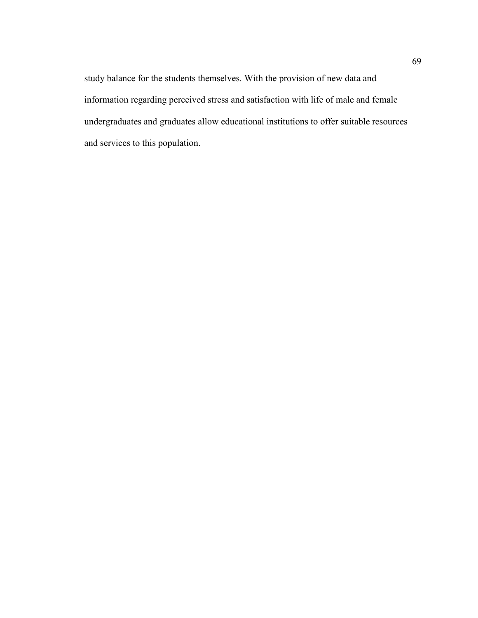study balance for the students themselves. With the provision of new data and information regarding perceived stress and satisfaction with life of male and female undergraduates and graduates allow educational institutions to offer suitable resources and services to this population.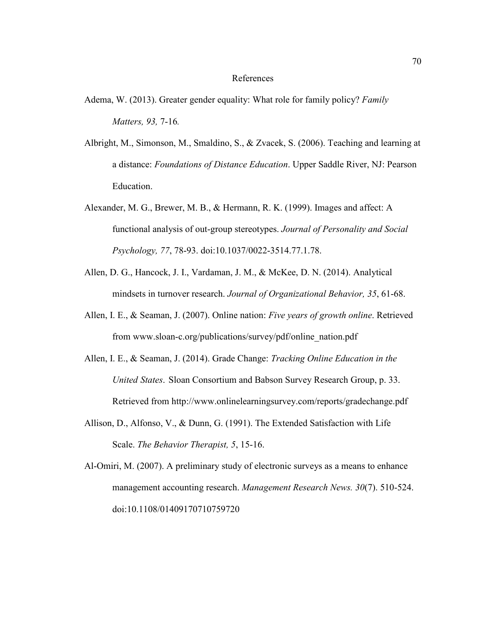### References

- Adema, W. (2013). Greater gender equality: What role for family policy? *Family Matters, 93,* 7-16*.*
- Albright, M., Simonson, M., Smaldino, S., & Zvacek, S. (2006). Teaching and learning at a distance: *Foundations of Distance Education*. Upper Saddle River, NJ: Pearson Education.
- Alexander, M. G., Brewer, M. B., & Hermann, R. K. (1999). Images and affect: A functional analysis of out-group stereotypes. *Journal of Personality and Social Psychology, 77*, 78-93. doi:10.1037/0022-3514.77.1.78.
- Allen, D. G., Hancock, J. I., Vardaman, J. M., & McKee, D. N. (2014). Analytical mindsets in turnover research. *Journal of Organizational Behavior, 35*, 61-68.
- Allen, I. E., & Seaman, J. (2007). Online nation: *Five years of growth online*. Retrieved from www.sloan-c.org/publications/survey/pdf/online\_nation.pdf
- Allen, I. E., & Seaman, J. (2014). Grade Change: *Tracking Online Education in the United States*. Sloan Consortium and Babson Survey Research Group, p. 33. Retrieved from http://www.onlinelearningsurvey.com/reports/gradechange.pdf
- Allison, D., Alfonso, V., & Dunn, G. (1991). The Extended Satisfaction with Life Scale. *The Behavior Therapist, 5*, 15-16.
- Al-Omiri, M. (2007). A preliminary study of electronic surveys as a means to enhance management accounting research. *Management Research News. 30*(7). 510-524. doi:10.1108/01409170710759720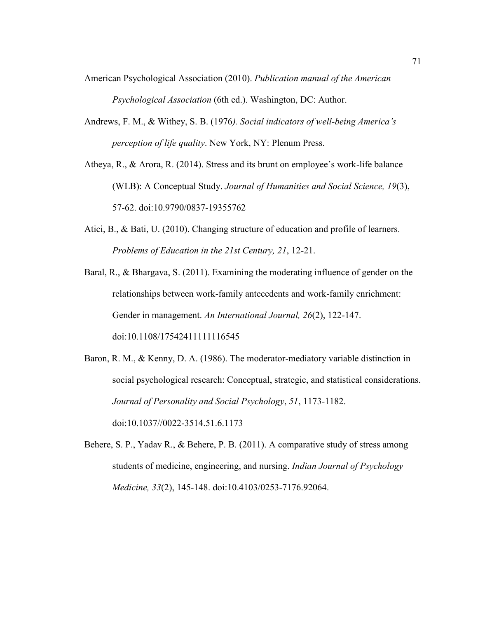- American Psychological Association (2010). *Publication manual of the American Psychological Association* (6th ed.). Washington, DC: Author.
- Andrews, F. M., & Withey, S. B. (1976*). Social indicators of well-being America's perception of life quality*. New York, NY: Plenum Press.
- Atheya, R., & Arora, R. (2014). Stress and its brunt on employee's work-life balance (WLB): A Conceptual Study. *Journal of Humanities and Social Science, 19*(3), 57-62. doi:10.9790/0837-19355762
- Atici, B., & Bati, U. (2010). Changing structure of education and profile of learners. *Problems of Education in the 21st Century, 21*, 12-21.
- Baral, R., & Bhargava, S. (2011). Examining the moderating influence of gender on the relationships between work-family antecedents and work-family enrichment: Gender in management. *An International Journal, 26*(2), 122-147. doi:10.1108/17542411111116545
- Baron, R. M., & Kenny, D. A. (1986). The moderator-mediatory variable distinction in social psychological research: Conceptual, strategic, and statistical considerations. *Journal of Personality and Social Psychology*, *51*, 1173-1182. doi:10.1037//0022-3514.51.6.1173
- Behere, S. P., Yadav R., & Behere, P. B. (2011). A comparative study of stress among students of medicine, engineering, and nursing. *Indian Journal of Psychology Medicine, 33*(2), 145-148. doi:10.4103/0253-7176.92064.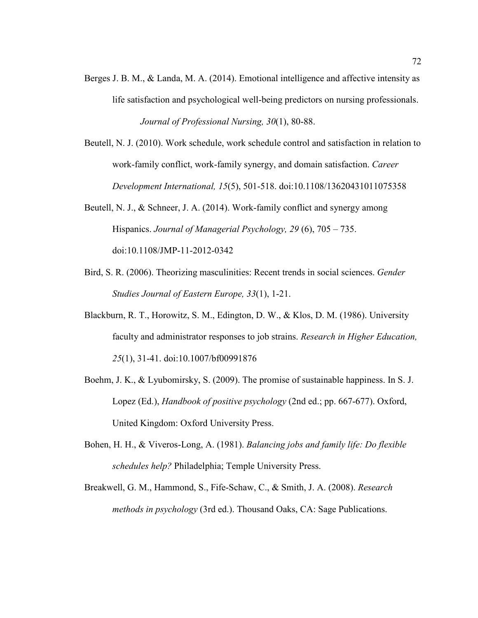- Berges J. B. M., & Landa, M. A. (2014). Emotional intelligence and affective intensity as life satisfaction and psychological well-being predictors on nursing professionals. *Journal of Professional Nursing, 30*(1), 80-88.
- Beutell, N. J. (2010). Work schedule, work schedule control and satisfaction in relation to work-family conflict, work-family synergy, and domain satisfaction. *Career Development International, 15*(5), 501-518. doi:10.1108/13620431011075358
- Beutell, N. J., & Schneer, J. A. (2014). Work-family conflict and synergy among Hispanics. *Journal of Managerial Psychology, 29* (6), 705 – 735. doi:10.1108/JMP-11-2012-0342
- Bird, S. R. (2006). Theorizing masculinities: Recent trends in social sciences. *Gender Studies Journal of Eastern Europe, 33*(1), 1-21.
- Blackburn, R. T., Horowitz, S. M., Edington, D. W., & Klos, D. M. (1986). University faculty and administrator responses to job strains. *Research in Higher Education, 25*(1), 31-41. doi:10.1007/bf00991876
- Boehm, J. K., & Lyubomirsky, S. (2009). The promise of sustainable happiness. In S. J. Lopez (Ed.), *Handbook of positive psychology* (2nd ed.; pp. 667-677). Oxford, United Kingdom: Oxford University Press.
- Bohen, H. H., & Viveros-Long, A. (1981). *Balancing jobs and family life: Do flexible schedules help?* Philadelphia; Temple University Press.
- Breakwell, G. M., Hammond, S., Fife-Schaw, C., & Smith, J. A. (2008). *Research methods in psychology* (3rd ed.). Thousand Oaks, CA: Sage Publications.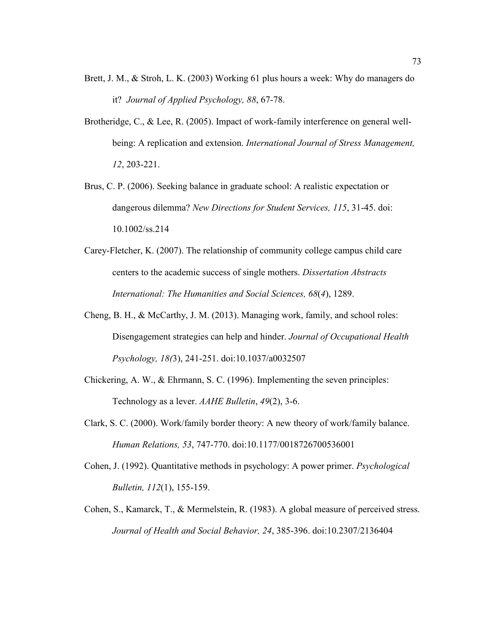- Brett, J. M., & Stroh, L. K. (2003) Working 61 plus hours a week: Why do managers do it? *Journal of Applied Psychology, 88*, 67-78.
- Brotheridge, C., & Lee, R. (2005). Impact of work-family interference on general wellbeing: A replication and extension. *International Journal of Stress Management, 12*, 203-221.
- Brus, C. P. (2006). Seeking balance in graduate school: A realistic expectation or dangerous dilemma? *New Directions for Student Services, 115*, 31-45. doi: 10.1002/ss.214
- Carey-Fletcher, K. (2007). The relationship of community college campus child care centers to the academic success of single mothers. *Dissertation Abstracts International: The Humanities and Social Sciences, 68*(*4*), 1289.
- Cheng, B. H., & McCarthy, J. M. (2013). Managing work, family, and school roles: Disengagement strategies can help and hinder. *Journal of Occupational Health Psychology, 18(*3), 241-251. doi:10.1037/a0032507
- Chickering, A. W., & Ehrmann, S. C. (1996). Implementing the seven principles: Technology as a lever. *AAHE Bulletin*, *49*(2), 3-6.
- Clark, S. C. (2000). Work/family border theory: A new theory of work/family balance. *Human Relations, 53*, 747-770. doi:10.1177/0018726700536001
- Cohen, J. (1992). Quantitative methods in psychology: A power primer. *Psychological Bulletin, 112*(1), 155-159.
- Cohen, S., Kamarck, T., & Mermelstein, R. (1983). A global measure of perceived stress. *Journal of Health and Social Behavior, 24*, 385-396. doi:10.2307/2136404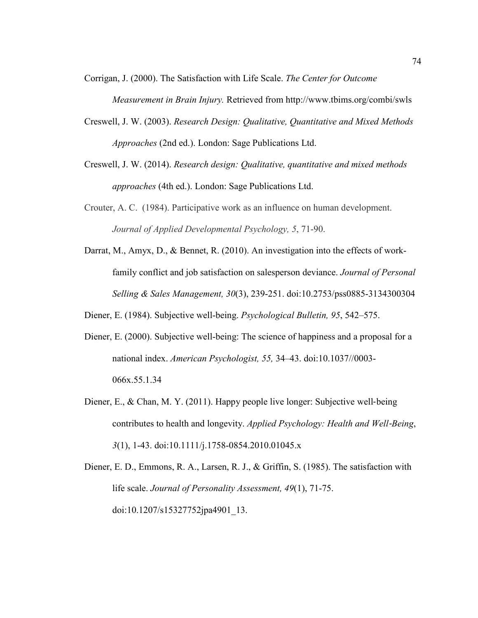Corrigan, J. (2000). The Satisfaction with Life Scale. *The Center for Outcome* 

*Measurement in Brain Injury.* Retrieved from http://www.tbims.org/combi/swls

- Creswell, J. W. (2003). *Research Design: Qualitative, Quantitative and Mixed Methods Approaches* (2nd ed.). London: Sage Publications Ltd.
- Creswell, J. W. (2014). *Research design: Qualitative, quantitative and mixed methods approaches* (4th ed.). London: Sage Publications Ltd.
- Crouter, A. C. (1984). Participative work as an influence on human development. *Journal of Applied Developmental Psychology, 5*, 71-90.
- Darrat, M., Amyx, D., & Bennet, R. (2010). An investigation into the effects of workfamily conflict and job satisfaction on salesperson deviance. *Journal of Personal Selling & Sales Management, 30*(3), 239-251. doi:10.2753/pss0885-3134300304
- Diener, E. (1984). Subjective well-being. *Psychological Bulletin, 95*, 542–575.
- Diener, E. (2000). Subjective well-being: The science of happiness and a proposal for a national index. *American Psychologist, 55,* 34–43. doi:10.1037//0003- 066x.55.1.34
- Diener, E., & Chan, M. Y. (2011). Happy people live longer: Subjective well-being contributes to health and longevity. *Applied Psychology: Health and Well*‐*Being*, *3*(1), 1-43. doi:10.1111/j.1758-0854.2010.01045.x
- Diener, E. D., Emmons, R. A., Larsen, R. J., & Griffin, S. (1985). The satisfaction with life scale. *Journal of Personality Assessment, 49*(1), 71-75. doi:10.1207/s15327752jpa4901\_13.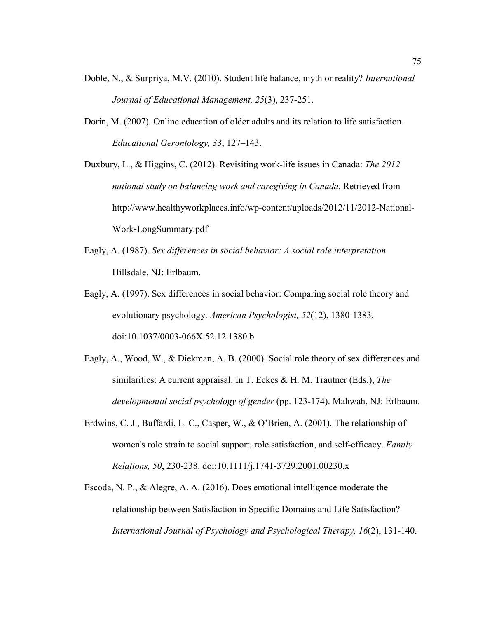- Doble, N., & Surpriya, M.V. (2010). Student life balance, myth or reality? *International Journal of Educational Management, 25*(3), 237-251.
- Dorin, M. (2007). Online education of older adults and its relation to life satisfaction. *Educational Gerontology, 33*, 127–143.

Duxbury, L., & Higgins, C. (2012). Revisiting work-life issues in Canada: *The 2012 national study on balancing work and caregiving in Canada.* Retrieved from http://www.healthyworkplaces.info/wp-content/uploads/2012/11/2012-National-Work-LongSummary.pdf

- Eagly, A. (1987). *Sex differences in social behavior: A social role interpretation.* Hillsdale, NJ: Erlbaum.
- Eagly, A. (1997). Sex differences in social behavior: Comparing social role theory and evolutionary psychology. *American Psychologist, 52*(12), 1380-1383. doi:10.1037/0003-066X.52.12.1380.b
- Eagly, A., Wood, W., & Diekman, A. B. (2000). Social role theory of sex differences and similarities: A current appraisal. In T. Eckes & H. M. Trautner (Eds.), *The developmental social psychology of gender* (pp. 123-174). Mahwah, NJ: Erlbaum.
- Erdwins, C. J., Buffardi, L. C., Casper, W., & O'Brien, A. (2001). The relationship of women's role strain to social support, role satisfaction, and self-efficacy. *Family Relations, 50*, 230-238. doi:10.1111/j.1741-3729.2001.00230.x
- Escoda, N. P., & Alegre, A. A. (2016). Does emotional intelligence moderate the relationship between Satisfaction in Specific Domains and Life Satisfaction? *International Journal of Psychology and Psychological Therapy, 16*(2), 131-140.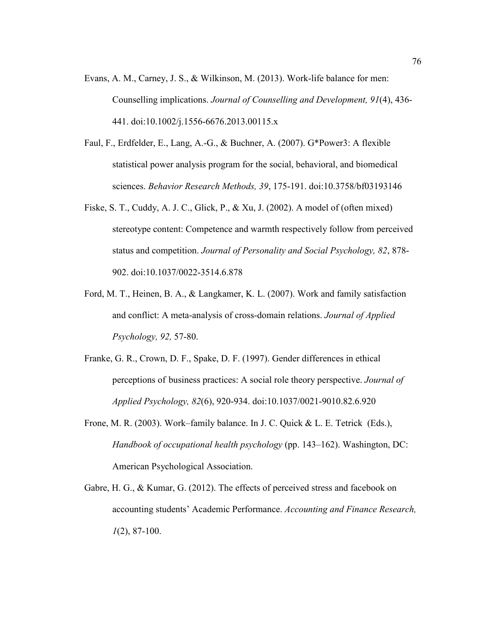- Evans, A. M., Carney, J. S., & Wilkinson, M. (2013). Work-life balance for men: Counselling implications. *Journal of Counselling and Development, 91*(4), 436- 441. doi:10.1002/j.1556-6676.2013.00115.x
- Faul, F., Erdfelder, E., Lang, A.-G., & Buchner, A. (2007). G\*Power3: A flexible statistical power analysis program for the social, behavioral, and biomedical sciences. *Behavior Research Methods, 39*, 175-191. doi:10.3758/bf03193146
- Fiske, S. T., Cuddy, A. J. C., Glick, P., & Xu, J. (2002). A model of (often mixed) stereotype content: Competence and warmth respectively follow from perceived status and competition. *Journal of Personality and Social Psychology, 82*, 878- 902. doi:10.1037/0022-3514.6.878
- Ford, M. T., Heinen, B. A., & Langkamer, K. L. (2007). Work and family satisfaction and conflict: A meta-analysis of cross-domain relations. *Journal of Applied Psychology, 92,* 57-80.
- Franke, G. R., Crown, D. F., Spake, D. F. (1997). Gender differences in ethical perceptions of business practices: A social role theory perspective. *Journal of Applied Psychology, 82*(6), 920-934. doi:10.1037/0021-9010.82.6.920
- Frone, M. R. (2003). Work–family balance. In J. C. Quick & L. E. Tetrick (Eds.), *Handbook of occupational health psychology* (pp. 143–162). Washington, DC: American Psychological Association.
- Gabre, H. G., & Kumar, G. (2012). The effects of perceived stress and facebook on accounting students' Academic Performance. *Accounting and Finance Research, 1*(2), 87-100.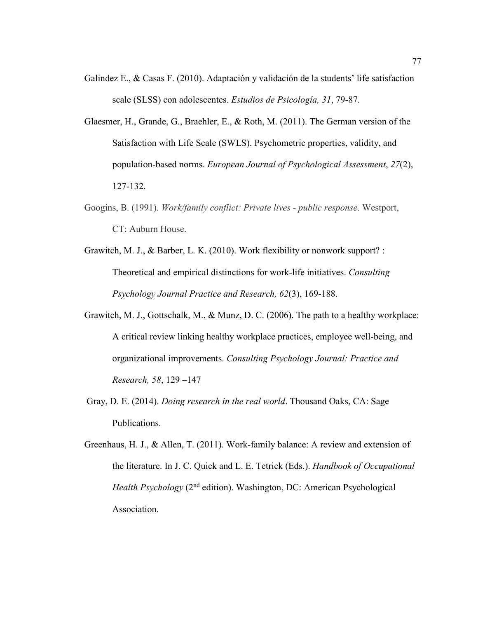- Galindez E., & Casas F. (2010). Adaptación y validación de la students' life satisfaction scale (SLSS) con adolescentes. *Estudios de Psicología, 31*, 79-87.
- Glaesmer, H., Grande, G., Braehler, E., & Roth, M. (2011). The German version of the Satisfaction with Life Scale (SWLS). Psychometric properties, validity, and population-based norms. *European Journal of Psychological Assessment*, *27*(2), 127-132.
- Googins, B. (1991). *Work/family conflict: Private lives public response*. Westport, CT: Auburn House.
- Grawitch, M. J., & Barber, L. K. (2010). Work flexibility or nonwork support? : Theoretical and empirical distinctions for work-life initiatives. *Consulting Psychology Journal Practice and Research, 62*(3), 169-188.
- Grawitch, M. J., Gottschalk, M., & Munz, D. C. (2006). The path to a healthy workplace: A critical review linking healthy workplace practices, employee well-being, and organizational improvements. *Consulting Psychology Journal: Practice and Research, 58*, 129 –147
- Gray, D. E. (2014). *Doing research in the real world*. Thousand Oaks, CA: Sage Publications.
- Greenhaus, H. J., & Allen, T. (2011). Work-family balance: A review and extension of the literature. In J. C. Quick and L. E. Tetrick (Eds.). *Handbook of Occupational Health Psychology* (2<sup>nd</sup> edition). Washington, DC: American Psychological Association.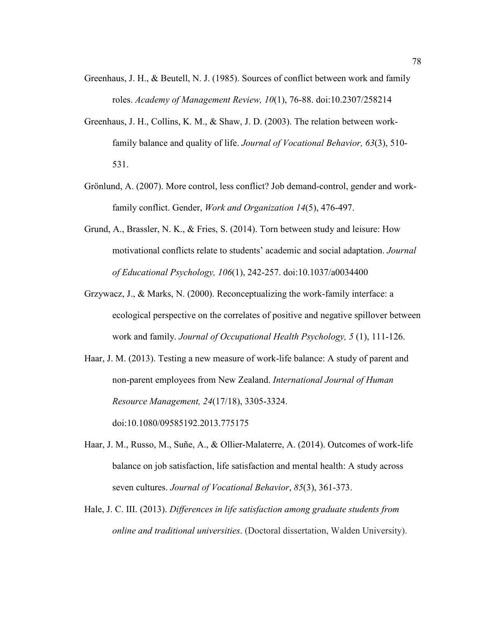- Greenhaus, J. H., & Beutell, N. J. (1985). Sources of conflict between work and family roles. *Academy of Management Review, 10*(1), 76-88. doi:10.2307/258214
- Greenhaus, J. H., Collins, K. M., & Shaw, J. D. (2003). The relation between workfamily balance and quality of life. *Journal of Vocational Behavior, 63*(3), 510- 531.
- Grönlund, A. (2007). More control, less conflict? Job demand-control, gender and workfamily conflict. Gender, *Work and Organization 14*(5), 476-497.
- Grund, A., Brassler, N. K., & Fries, S. (2014). Torn between study and leisure: How motivational conflicts relate to students' academic and social adaptation. *Journal of Educational Psychology, 106*(1), 242-257. doi:10.1037/a0034400
- Grzywacz, J., & Marks, N. (2000). Reconceptualizing the work-family interface: a ecological perspective on the correlates of positive and negative spillover between work and family. *Journal of Occupational Health Psychology, 5* (1), 111-126.
- Haar, J. M. (2013). Testing a new measure of work-life balance: A study of parent and non-parent employees from New Zealand. *International Journal of Human Resource Management, 24*(17/18), 3305-3324. doi:10.1080/09585192.2013.775175
- Haar, J. M., Russo, M., Suñe, A., & Ollier-Malaterre, A. (2014). Outcomes of work-life balance on job satisfaction, life satisfaction and mental health: A study across seven cultures. *Journal of Vocational Behavior*, *85*(3), 361-373.
- Hale, J. C. III. (2013). *Differences in life satisfaction among graduate students from online and traditional universities*. (Doctoral dissertation, Walden University).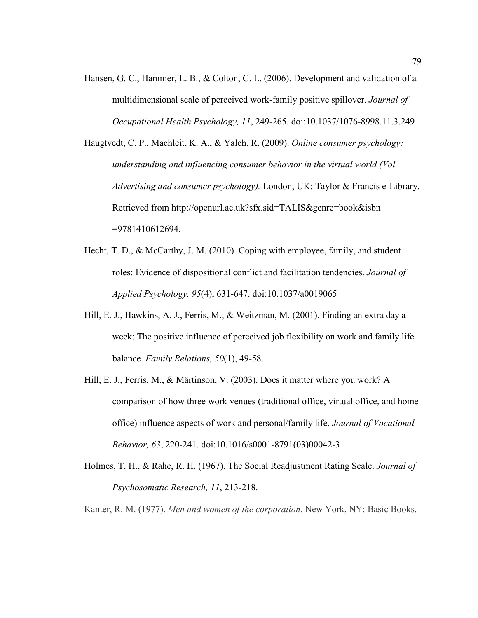- Hansen, G. C., Hammer, L. B., & Colton, C. L. (2006). Development and validation of a multidimensional scale of perceived work-family positive spillover. *Journal of Occupational Health Psychology, 11*, 249-265. doi:10.1037/1076-8998.11.3.249
- Haugtvedt, C. P., Machleit, K. A., & Yalch, R. (2009). *Online consumer psychology: understanding and influencing consumer behavior in the virtual world (Vol. Advertising and consumer psychology).* London, UK: Taylor & Francis e-Library. Retrieved from http://openurl.ac.uk?sfx.sid=TALIS&genre=book&isbn =9781410612694.
- Hecht, T. D., & McCarthy, J. M. (2010). Coping with employee, family, and student roles: Evidence of dispositional conflict and facilitation tendencies. *Journal of Applied Psychology, 95*(4), 631-647. doi:10.1037/a0019065
- Hill, E. J., Hawkins, A. J., Ferris, M., & Weitzman, M. (2001). Finding an extra day a week: The positive influence of perceived job flexibility on work and family life balance. *Family Relations, 50*(1), 49-58.
- Hill, E. J., Ferris, M., & Märtinson, V. (2003). Does it matter where you work? A comparison of how three work venues (traditional office, virtual office, and home office) influence aspects of work and personal/family life. *Journal of Vocational Behavior, 63*, 220-241. doi:10.1016/s0001-8791(03)00042-3
- Holmes, T. H., & Rahe, R. H. (1967). The Social Readjustment Rating Scale. *Journal of Psychosomatic Research, 11*, 213-218.

Kanter, R. M. (1977). *Men and women of the corporation*. New York, NY: Basic Books.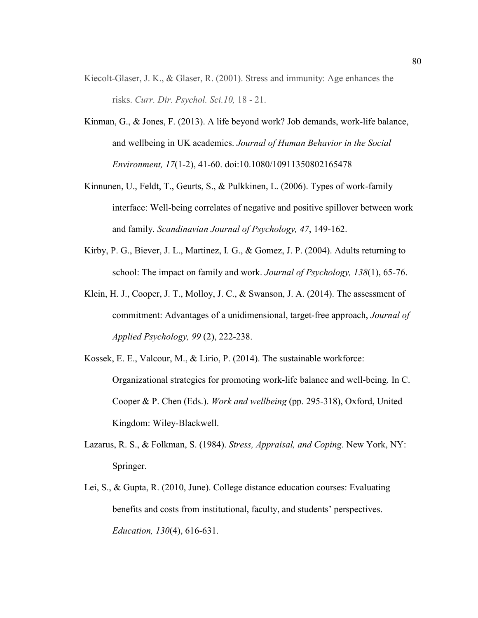- Kiecolt-Glaser, J. K., & Glaser, R. (2001). Stress and immunity: Age enhances the risks. *Curr. Dir. Psychol. Sci.10,* 18 - 21.
- Kinman, G., & Jones, F. (2013). A life beyond work? Job demands, work-life balance, and wellbeing in UK academics. *Journal of Human Behavior in the Social Environment, 17*(1-2), 41-60. doi:10.1080/10911350802165478
- Kinnunen, U., Feldt, T., Geurts, S., & Pulkkinen, L. (2006). Types of work-family interface: Well-being correlates of negative and positive spillover between work and family. *Scandinavian Journal of Psychology, 47*, 149-162.
- Kirby, P. G., Biever, J. L., Martinez, I. G., & Gomez, J. P. (2004). Adults returning to school: The impact on family and work. *Journal of Psychology, 138*(1), 65-76.
- Klein, H. J., Cooper, J. T., Molloy, J. C., & Swanson, J. A. (2014). The assessment of commitment: Advantages of a unidimensional, target-free approach, *Journal of Applied Psychology, 99* (2), 222-238.
- Kossek, E. E., Valcour, M., & Lirio, P. (2014). The sustainable workforce: Organizational strategies for promoting work-life balance and well-being. In C. Cooper & P. Chen (Eds.). *Work and wellbeing* (pp. 295-318), Oxford, United Kingdom: Wiley-Blackwell.
- Lazarus, R. S., & Folkman, S. (1984). *Stress, Appraisal, and Coping*. New York, NY: Springer.
- Lei, S., & Gupta, R. (2010, June). College distance education courses: Evaluating benefits and costs from institutional, faculty, and students' perspectives. *Education, 130*(4), 616-631.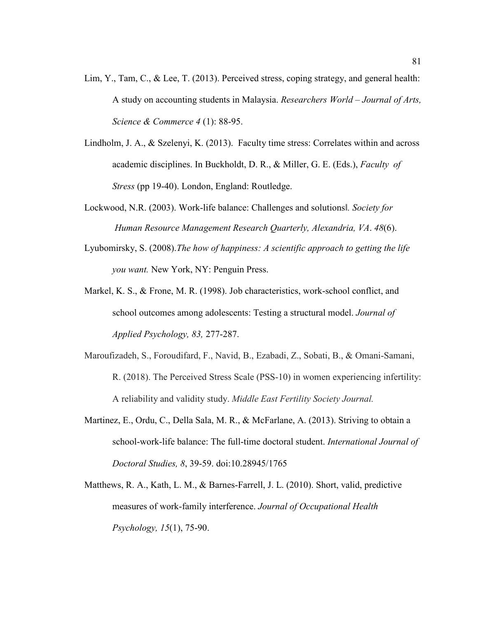- Lim, Y., Tam, C., & Lee, T. (2013). Perceived stress, coping strategy, and general health: A study on accounting students in Malaysia. *Researchers World – Journal of Arts, Science & Commerce 4* (1): 88-95.
- Lindholm, J. A., & Szelenyi, K. (2013). Faculty time stress: Correlates within and across academic disciplines. In Buckholdt, D. R., & Miller, G. E. (Eds.), *Faculty of Stress* (pp 19-40). London, England: Routledge.
- Lockwood, N.R. (2003). Work-life balance: Challenges and solutions‖*. Society for Human Resource Management Research Quarterly, Alexandria, VA*. *48*(6).
- Lyubomirsky, S. (2008).*The how of happiness: A scientific approach to getting the life you want.* New York, NY: Penguin Press.
- Markel, K. S., & Frone, M. R. (1998). Job characteristics, work-school conflict, and school outcomes among adolescents: Testing a structural model. *Journal of Applied Psychology, 83,* 277-287.
- Maroufizadeh, S., Foroudifard, F., Navid, B., Ezabadi, Z., Sobati, B., & Omani-Samani, R. (2018). The Perceived Stress Scale (PSS-10) in women experiencing infertility: A reliability and validity study. *Middle East Fertility Society Journal.*
- Martinez, E., Ordu, C., Della Sala, M. R., & McFarlane, A. (2013). Striving to obtain a school-work-life balance: The full-time doctoral student. *International Journal of Doctoral Studies, 8*, 39-59. doi:10.28945/1765
- Matthews, R. A., Kath, L. M., & Barnes-Farrell, J. L. (2010). Short, valid, predictive measures of work-family interference. *Journal of Occupational Health Psychology, 15*(1), 75-90.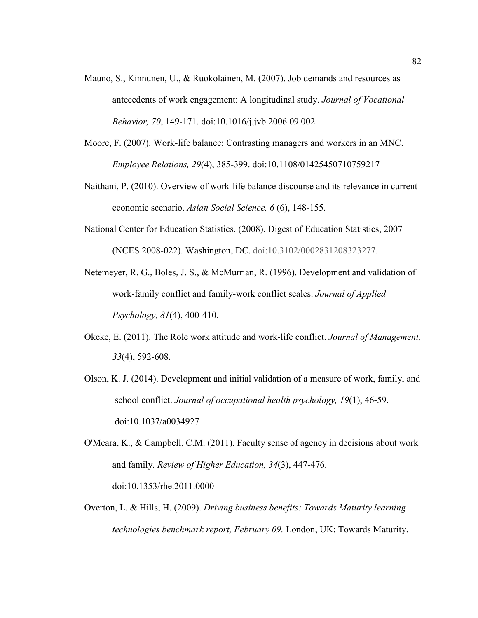- Mauno, S., Kinnunen, U., & Ruokolainen, M. (2007). Job demands and resources as antecedents of work engagement: A longitudinal study. *Journal of Vocational Behavior, 70*, 149-171. doi:10.1016/j.jvb.2006.09.002
- Moore, F. (2007). Work-life balance: Contrasting managers and workers in an MNC. *Employee Relations, 29*(4), 385-399. doi:10.1108/01425450710759217
- Naithani, P. (2010). Overview of work-life balance discourse and its relevance in current economic scenario. *Asian Social Science, 6* (6), 148-155.
- National Center for Education Statistics. (2008). Digest of Education Statistics, 2007 (NCES 2008-022). Washington, DC. doi:10.3102/0002831208323277.
- Netemeyer, R. G., Boles, J. S., & McMurrian, R. (1996). Development and validation of work-family conflict and family-work conflict scales. *Journal of Applied Psychology, 81*(4), 400-410.
- Okeke, E. (2011). The Role work attitude and work-life conflict. *Journal of Management, 33*(4), 592-608.
- Olson, K. J. (2014). Development and initial validation of a measure of work, family, and school conflict. *Journal of occupational health psychology, 19*(1), 46-59. doi:10.1037/a0034927
- O'Meara, K., & Campbell, C.M. (2011). Faculty sense of agency in decisions about work and family. *Review of Higher Education, 34*(3), 447-476. doi:10.1353/rhe.2011.0000
- Overton, L. & Hills, H. (2009). *Driving business benefits: Towards Maturity learning technologies benchmark report, February 09.* London, UK: Towards Maturity.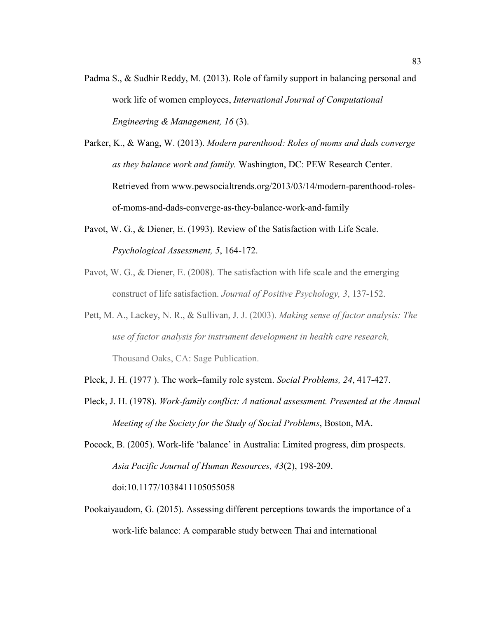- Padma S., & Sudhir Reddy, M. (2013). Role of family support in balancing personal and work life of women employees, *International Journal of Computational Engineering & Management, 16* (3).
- Parker, K., & Wang, W. (2013). *Modern parenthood: Roles of moms and dads converge as they balance work and family.* Washington, DC: PEW Research Center. Retrieved from www.pewsocialtrends.org/2013/03/14/modern-parenthood-rolesof-moms-and-dads-converge-as-they-balance-work-and-family
- Pavot, W. G., & Diener, E. (1993). Review of the Satisfaction with Life Scale. *Psychological Assessment, 5*, 164-172.
- Pavot, W. G., & Diener, E. (2008). The satisfaction with life scale and the emerging construct of life satisfaction. *Journal of Positive Psychology, 3*, 137-152.
- Pett, M. A., Lackey, N. R., & Sullivan, J. J. (2003). *Making sense of factor analysis: The use of factor analysis for instrument development in health care research,* Thousand Oaks, CA: Sage Publication.
- Pleck, J. H. (1977 ). The work–family role system. *Social Problems, 24*, 417-427.
- Pleck, J. H. (1978). *Work-family conflict: A national assessment. Presented at the Annual Meeting of the Society for the Study of Social Problems*, Boston, MA.
- Pocock, B. (2005). Work-life 'balance' in Australia: Limited progress, dim prospects. *Asia Pacific Journal of Human Resources, 43*(2), 198-209. doi:10.1177/1038411105055058
- Pookaiyaudom, G. (2015). Assessing different perceptions towards the importance of a work-life balance: A comparable study between Thai and international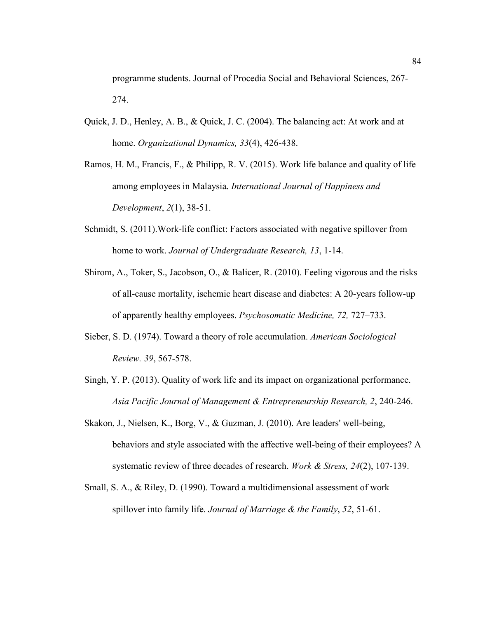programme students. Journal of Procedia Social and Behavioral Sciences, 267- 274.

- Quick, J. D., Henley, A. B., & Quick, J. C. (2004). The balancing act: At work and at home. *Organizational Dynamics, 33*(4), 426-438.
- Ramos, H. M., Francis, F., & Philipp, R. V. (2015). Work life balance and quality of life among employees in Malaysia. *International Journal of Happiness and Development*, *2*(1), 38-51.
- Schmidt, S. (2011).Work-life conflict: Factors associated with negative spillover from home to work. *Journal of Undergraduate Research, 13*, 1-14.
- Shirom, A., Toker, S., Jacobson, O., & Balicer, R. (2010). Feeling vigorous and the risks of all-cause mortality, ischemic heart disease and diabetes: A 20-years follow-up of apparently healthy employees. *Psychosomatic Medicine, 72,* 727–733.
- Sieber, S. D. (1974). Toward a theory of role accumulation. *American Sociological Review. 39*, 567-578.
- Singh, Y. P. (2013). Quality of work life and its impact on organizational performance. *Asia Pacific Journal of Management & Entrepreneurship Research, 2*, 240-246.
- Skakon, J., Nielsen, K., Borg, V., & Guzman, J. (2010). Are leaders' well-being, behaviors and style associated with the affective well-being of their employees? A systematic review of three decades of research. *Work & Stress, 24*(2), 107-139.
- Small, S. A., & Riley, D. (1990). Toward a multidimensional assessment of work spillover into family life. *Journal of Marriage & the Family*, *52*, 51-61.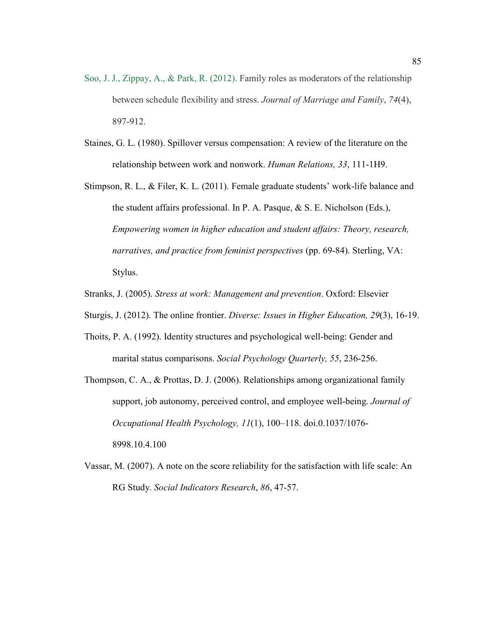- Soo, J. J., Zippay, A., & Park, R. (2012). Family roles as moderators of the relationship between schedule flexibility and stress. *Journal of Marriage and Family*, *74*(4), 897-912.
- Staines, G. L. (1980). Spillover versus compensation: A review of the literature on the relationship between work and nonwork. *Human Relations, 33*, 111-1H9.
- Stimpson, R. L., & Filer, K. L. (2011). Female graduate students' work-life balance and the student affairs professional. In P. A. Pasque, & S. E. Nicholson (Eds.), *Empowering women in higher education and student affairs: Theory, research, narratives, and practice from feminist perspectives* (pp. 69-84). Sterling, VA: Stylus.
- Stranks, J. (2005). *Stress at work: Management and prevention*. Oxford: Elsevier
- Sturgis, J. (2012). The online frontier. *Diverse: Issues in Higher Education, 29*(3), 16-19.
- Thoits, P. A. (1992). Identity structures and psychological well-being: Gender and marital status comparisons. *Social Psychology Quarterly, 55*, 236-256.
- Thompson, C. A., & Prottas, D. J. (2006). Relationships among organizational family support, job autonomy, perceived control, and employee well-being. *Journal of Occupational Health Psychology, 11*(1), 100–118. doi.0.1037/1076- 8998.10.4.100
- Vassar, M. (2007). A note on the score reliability for the satisfaction with life scale: An RG Study. *Social Indicators Research*, *86*, 47-57.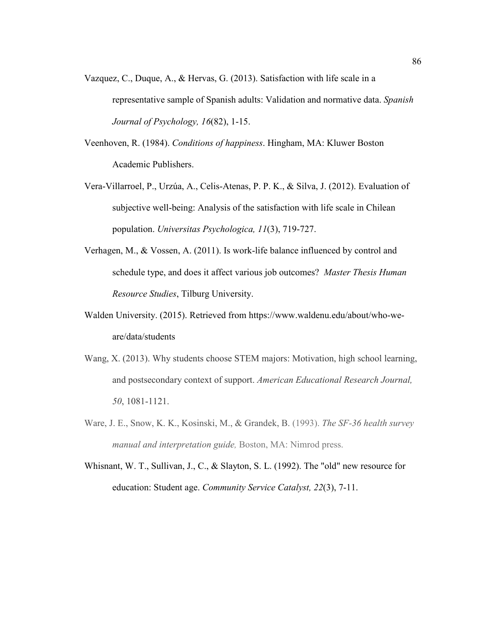- Vazquez, C., Duque, A., & Hervas, G. (2013). Satisfaction with life scale in a representative sample of Spanish adults: Validation and normative data. *Spanish Journal of Psychology, 16*(82), 1-15.
- Veenhoven, R. (1984). *Conditions of happiness*. Hingham, MA: Kluwer Boston Academic Publishers.
- Vera-Villarroel, P., Urzúa, A., Celis-Atenas, P. P. K., & Silva, J. (2012). Evaluation of subjective well-being: Analysis of the satisfaction with life scale in Chilean population. *Universitas Psychologica, 11*(3), 719-727.
- Verhagen, M., & Vossen, A. (2011). Is work-life balance influenced by control and schedule type, and does it affect various job outcomes? *Master Thesis Human Resource Studies*, Tilburg University.
- Walden University. (2015). Retrieved from https://www.waldenu.edu/about/who-weare/data/students
- Wang, X. (2013). Why students choose STEM majors: Motivation, high school learning, and postsecondary context of support. *American Educational Research Journal, 50*, 1081-1121.
- Ware, J. E., Snow, K. K., Kosinski, M., & Grandek, B. (1993). *The SF-36 health survey manual and interpretation guide,* Boston, MA: Nimrod press.
- Whisnant, W. T., Sullivan, J., C., & Slayton, S. L. (1992). The "old" new resource for education: Student age. *Community Service Catalyst, 22*(3), 7-11.